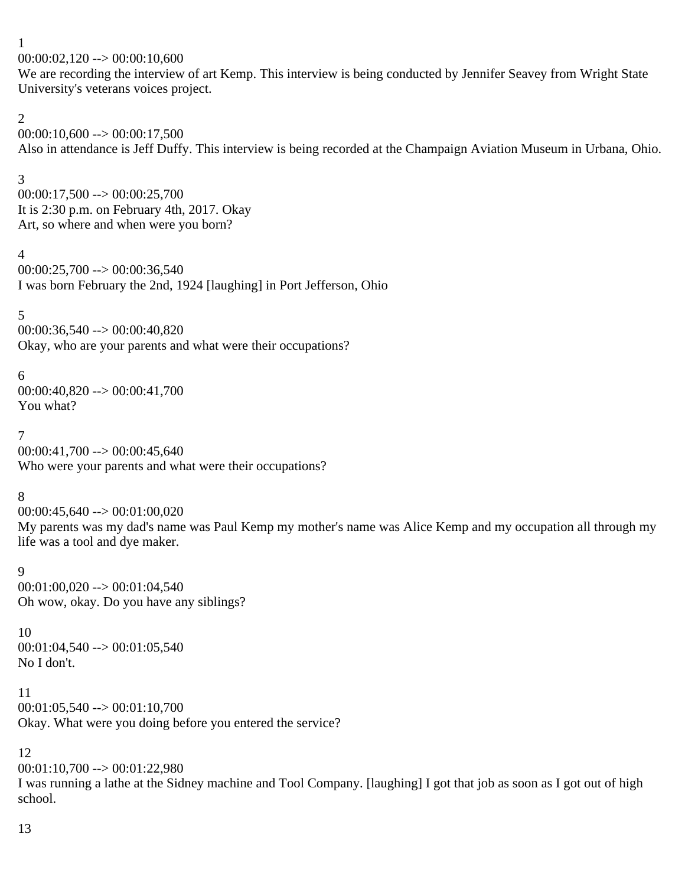1

 $00:00:02,120 \rightarrow 00:00:10,600$ 

We are recording the interview of art Kemp. This interview is being conducted by Jennifer Seavey from Wright State University's veterans voices project.

2

 $00:00:10,600 \rightarrow 00:00:17,500$ Also in attendance is Jeff Duffy. This interview is being recorded at the Champaign Aviation Museum in Urbana, Ohio.

3

 $00:00:17,500 \rightarrow 00:00:25,700$ It is 2:30 p.m. on February 4th, 2017. Okay Art, so where and when were you born?

4

 $00:00:25,700 \rightarrow 00:00:36,540$ I was born February the 2nd, 1924 [laughing] in Port Jefferson, Ohio

5

00:00:36,540 --> 00:00:40,820 Okay, who are your parents and what were their occupations?

6

00:00:40,820 --> 00:00:41,700 You what?

7

 $00:00:41,700 \rightarrow 00:00:45,640$ Who were your parents and what were their occupations?

8

 $00:00:45,640 \rightarrow 00:01:00,020$ 

My parents was my dad's name was Paul Kemp my mother's name was Alice Kemp and my occupation all through my life was a tool and dye maker.

9  $00:01:00,020 \rightarrow 00:01:04,540$ Oh wow, okay. Do you have any siblings?

10 00:01:04,540 --> 00:01:05,540 No I don't.

11  $00:01:05,540 \rightarrow 00:01:10,700$ Okay. What were you doing before you entered the service?

12  $00:01:10,700 \rightarrow 00:01:22,980$ I was running a lathe at the Sidney machine and Tool Company. [laughing] I got that job as soon as I got out of high school.

13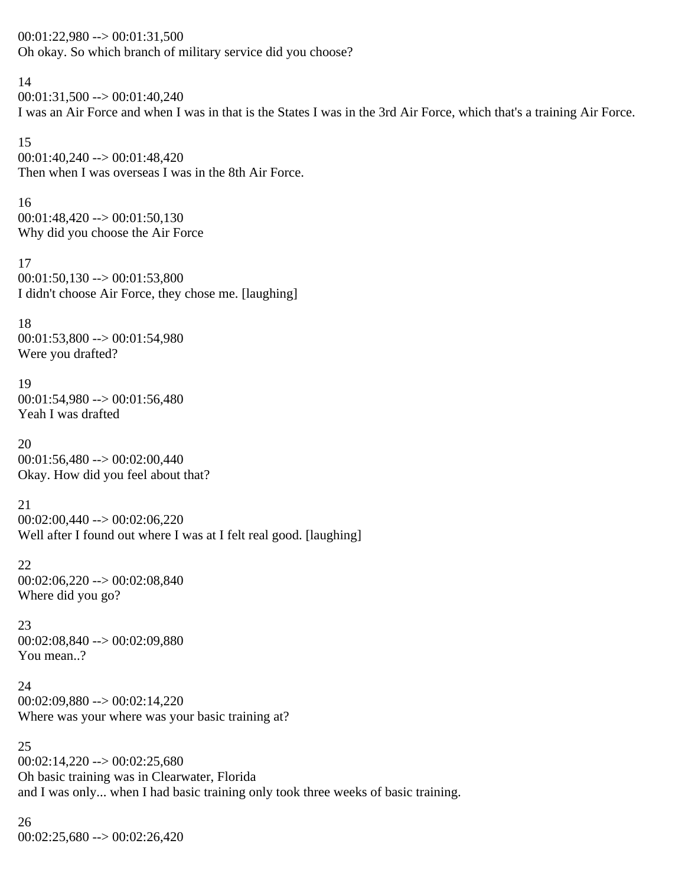$00:01:22,980 \rightarrow 00:01:31,500$ Oh okay. So which branch of military service did you choose?

14  $00:01:31,500 \rightarrow 00:01:40,240$ I was an Air Force and when I was in that is the States I was in the 3rd Air Force, which that's a training Air Force.

15 00:01:40,240 --> 00:01:48,420 Then when I was overseas I was in the 8th Air Force.

16  $00:01:48,420 \rightarrow 00:01:50,130$ Why did you choose the Air Force

17  $00:01:50,130 \rightarrow 00:01:53,800$ I didn't choose Air Force, they chose me. [laughing]

18  $00:01:53,800 \rightarrow 00:01:54,980$ Were you drafted?

19 00:01:54,980 --> 00:01:56,480 Yeah I was drafted

20  $00:01:56,480 \rightarrow 00:02:00,440$ Okay. How did you feel about that?

21 00:02:00,440 --> 00:02:06,220 Well after I found out where I was at I felt real good. [laughing]

22 00:02:06,220 --> 00:02:08,840 Where did you go?

23 00:02:08,840 --> 00:02:09,880 You mean..?

24 00:02:09,880 --> 00:02:14,220 Where was your where was your basic training at?

25  $00:02:14,220 \rightarrow 00:02:25,680$ Oh basic training was in Clearwater, Florida and I was only... when I had basic training only took three weeks of basic training.

26  $00:02:25,680 \rightarrow 00:02:26,420$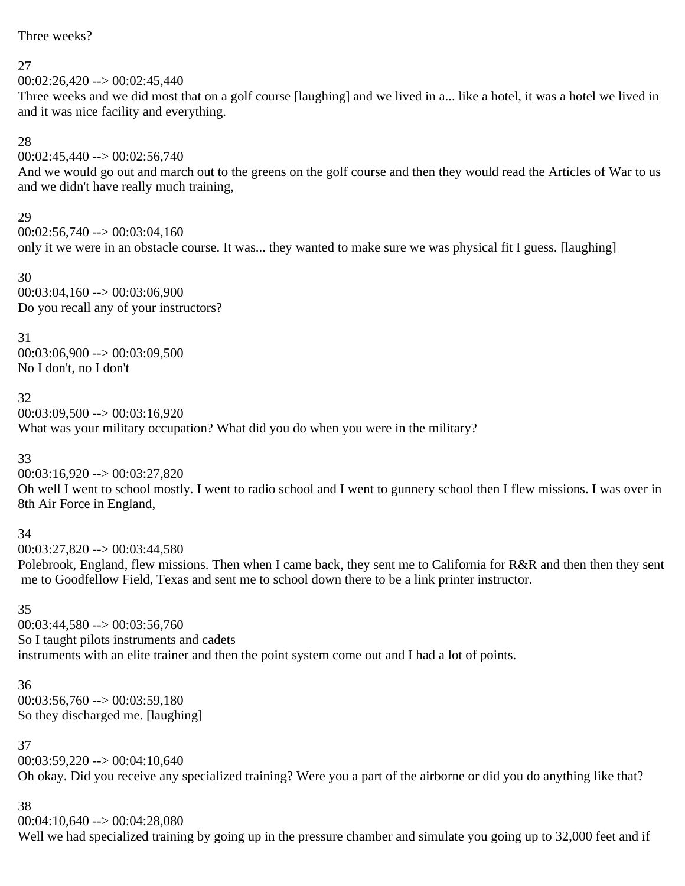Three weeks?

### 27

 $00:02:26,420 \rightarrow 00:02:45,440$ 

Three weeks and we did most that on a golf course [laughing] and we lived in a... like a hotel, it was a hotel we lived in and it was nice facility and everything.

### 28

 $00:02:45,440 \rightarrow 00:02:56,740$ 

And we would go out and march out to the greens on the golf course and then they would read the Articles of War to us and we didn't have really much training,

### 29

 $00:02:56,740 \rightarrow 00:03:04,160$ only it we were in an obstacle course. It was... they wanted to make sure we was physical fit I guess. [laughing]

30 00:03:04,160 --> 00:03:06,900 Do you recall any of your instructors?

31

00:03:06,900 --> 00:03:09,500 No I don't, no I don't

### 32

 $00:03:09.500 \rightarrow 00:03:16.920$ What was your military occupation? What did you do when you were in the military?

33

 $00:03:16,920 \rightarrow 00:03:27,820$ 

Oh well I went to school mostly. I went to radio school and I went to gunnery school then I flew missions. I was over in 8th Air Force in England,

### 34

00:03:27,820 --> 00:03:44,580

Polebrook, England, flew missions. Then when I came back, they sent me to California for R&R and then then they sent me to Goodfellow Field, Texas and sent me to school down there to be a link printer instructor.

### 35

00:03:44,580 --> 00:03:56,760 So I taught pilots instruments and cadets instruments with an elite trainer and then the point system come out and I had a lot of points.

36  $00:03:56,760 \rightarrow 00:03:59,180$ So they discharged me. [laughing]

### 37

 $00:03:59,220 \rightarrow 00:04:10,640$ Oh okay. Did you receive any specialized training? Were you a part of the airborne or did you do anything like that?

### 38

 $00:04:10,640 \rightarrow 00:04:28,080$ 

Well we had specialized training by going up in the pressure chamber and simulate you going up to 32,000 feet and if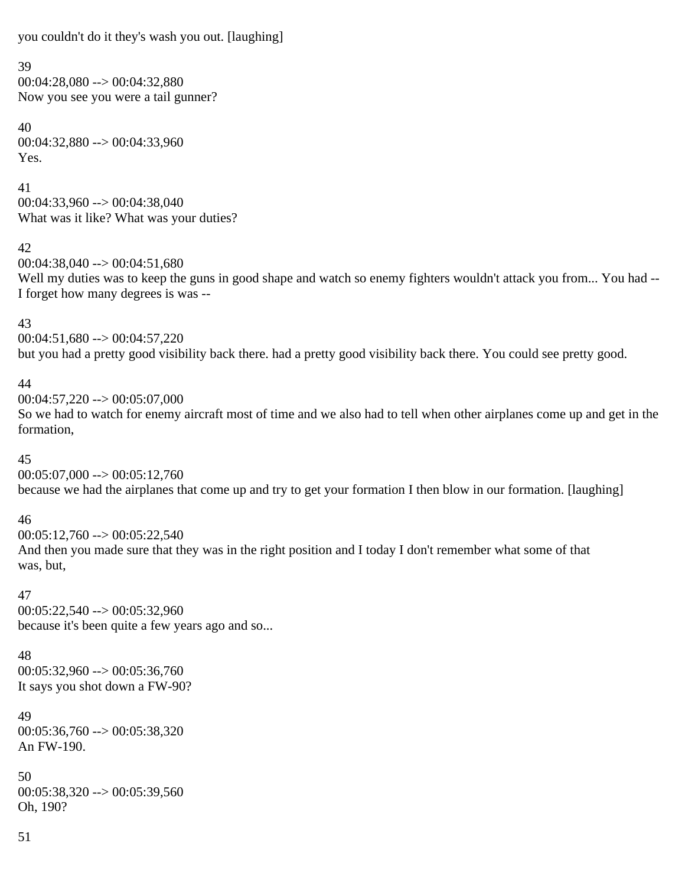you couldn't do it they's wash you out. [laughing]

#### 39

 $00:04:28.080 \rightarrow 00:04:32.880$ Now you see you were a tail gunner?

40 00:04:32,880 --> 00:04:33,960 Yes.

41 00:04:33,960 --> 00:04:38,040 What was it like? What was your duties?

42

00:04:38,040 --> 00:04:51,680 Well my duties was to keep the guns in good shape and watch so enemy fighters wouldn't attack you from... You had --I forget how many degrees is was --

### 43

 $00:04:51,680 \rightarrow 00:04:57,220$ but you had a pretty good visibility back there. had a pretty good visibility back there. You could see pretty good.

### 44

00:04:57,220 --> 00:05:07,000

So we had to watch for enemy aircraft most of time and we also had to tell when other airplanes come up and get in the formation,

### 45

 $00:05:07,000 \rightarrow 00:05:12,760$ because we had the airplanes that come up and try to get your formation I then blow in our formation. [laughing]

### 46

 $00:05:12,760 \rightarrow 00:05:22,540$ And then you made sure that they was in the right position and I today I don't remember what some of that was, but,

### 47

 $00:05:22.540 \rightarrow 00:05:32.960$ because it's been quite a few years ago and so...

# 48

 $00:05:32,960 \rightarrow 00:05:36,760$ It says you shot down a FW-90?

# 49

00:05:36,760 --> 00:05:38,320 An FW-190.

# 50

 $00:05:38,320 \rightarrow 00:05:39,560$ Oh, 190?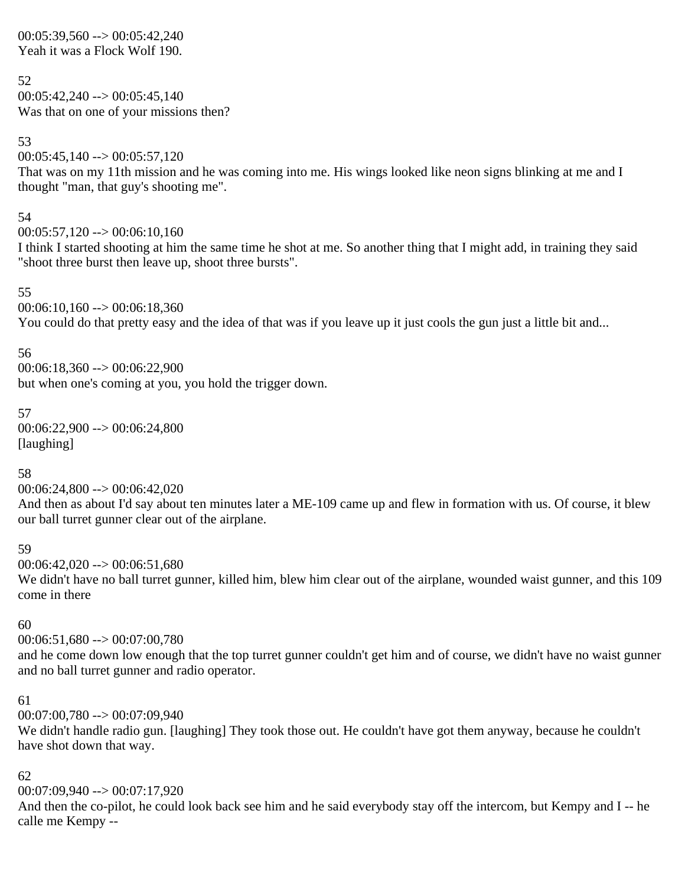### $00:05:39,560 \rightarrow 00:05:42,240$ Yeah it was a Flock Wolf 190.

52  $00:05:42,240 \rightarrow 00:05:45,140$ Was that on one of your missions then?

### $00:05:45,140 \rightarrow 00:05:57,120$ That was on my 11th mission and he was coming into me. His wings looked like neon signs blinking at me and I thought "man, that guy's shooting me".

#### 54

53

 $00:05:57,120 \rightarrow 00:06:10,160$ 

I think I started shooting at him the same time he shot at me. So another thing that I might add, in training they said "shoot three burst then leave up, shoot three bursts".

### 55

 $00:06:10,160 \rightarrow 00:06:18,360$ 

You could do that pretty easy and the idea of that was if you leave up it just cools the gun just a little bit and...

### 56

00:06:18,360 --> 00:06:22,900 but when one's coming at you, you hold the trigger down.

## 57

00:06:22,900 --> 00:06:24,800 [laughing]

### 58

00:06:24,800 --> 00:06:42,020

And then as about I'd say about ten minutes later a ME-109 came up and flew in formation with us. Of course, it blew our ball turret gunner clear out of the airplane.

### 59

 $00:06:42,020 \rightarrow 00:06:51,680$ 

We didn't have no ball turret gunner, killed him, blew him clear out of the airplane, wounded waist gunner, and this 109 come in there

### 60

00:06:51,680 --> 00:07:00,780

and he come down low enough that the top turret gunner couldn't get him and of course, we didn't have no waist gunner and no ball turret gunner and radio operator.

### 61

00:07:00,780 --> 00:07:09,940

We didn't handle radio gun. [laughing] They took those out. He couldn't have got them anyway, because he couldn't have shot down that way.

### 62

 $00:07:09.940 \rightarrow 00:07:17.920$ 

And then the co-pilot, he could look back see him and he said everybody stay off the intercom, but Kempy and I -- he calle me Kempy --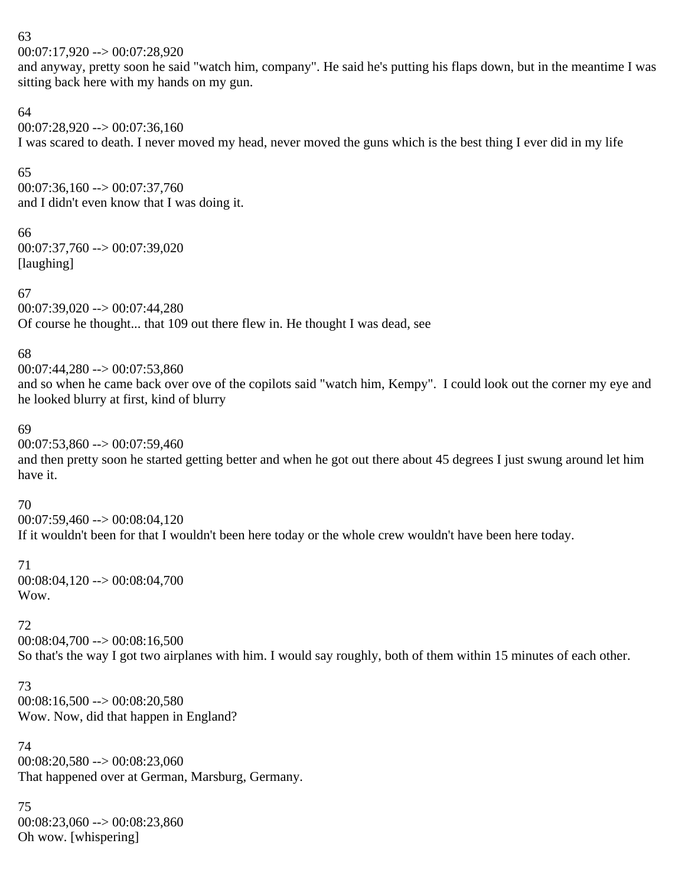### 63

00:07:17,920 --> 00:07:28,920

and anyway, pretty soon he said "watch him, company". He said he's putting his flaps down, but in the meantime I was sitting back here with my hands on my gun.

### 64

 $00:07:28,920 \rightarrow 00:07:36,160$ I was scared to death. I never moved my head, never moved the guns which is the best thing I ever did in my life

### 65

00:07:36,160 --> 00:07:37,760 and I didn't even know that I was doing it.

### 66

00:07:37,760 --> 00:07:39,020 [laughing]

### 67

00:07:39,020 --> 00:07:44,280 Of course he thought... that 109 out there flew in. He thought I was dead, see

### 68

 $00:07:44,280 \rightarrow 00:07:53,860$ 

and so when he came back over ove of the copilots said "watch him, Kempy". I could look out the corner my eye and he looked blurry at first, kind of blurry

### 69

00:07:53,860 --> 00:07:59,460

and then pretty soon he started getting better and when he got out there about 45 degrees I just swung around let him have it.

### 70

 $00:07:59,460 \rightarrow 00:08:04,120$ If it wouldn't been for that I wouldn't been here today or the whole crew wouldn't have been here today.

### 71

00:08:04,120 --> 00:08:04,700 Wow.

### 72

 $00:08:04,700 \rightarrow 00:08:16,500$ So that's the way I got two airplanes with him. I would say roughly, both of them within 15 minutes of each other.

#### 73  $00:08:16,500 \rightarrow 00:08:20,580$ Wow. Now, did that happen in England?

74 00:08:20,580 --> 00:08:23,060 That happened over at German, Marsburg, Germany.

### 75 00:08:23,060 --> 00:08:23,860 Oh wow. [whispering]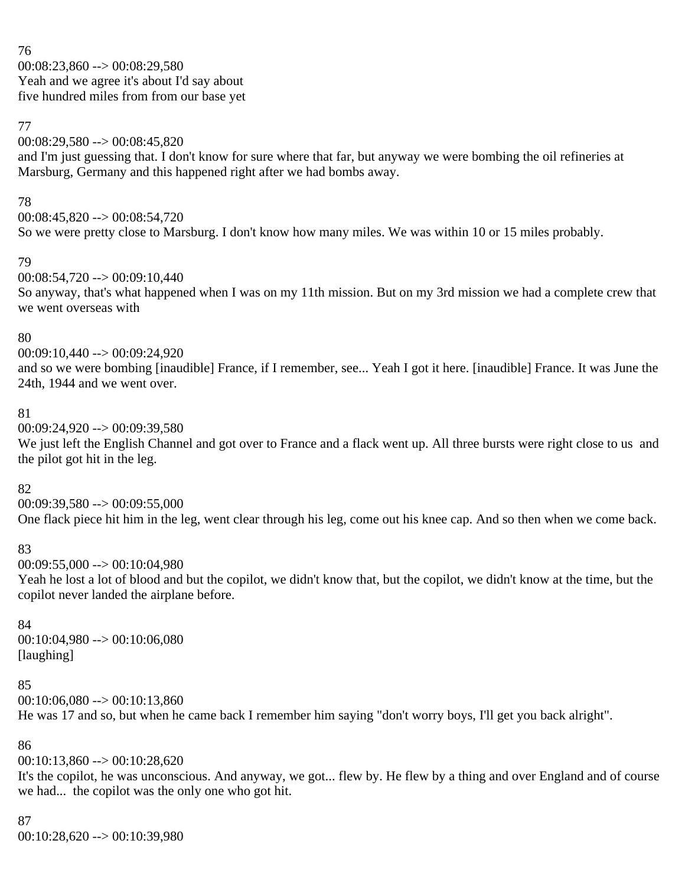76 00:08:23,860 --> 00:08:29,580 Yeah and we agree it's about I'd say about five hundred miles from from our base yet

### 77

00:08:29,580 --> 00:08:45,820

and I'm just guessing that. I don't know for sure where that far, but anyway we were bombing the oil refineries at Marsburg, Germany and this happened right after we had bombs away.

### 78

 $00:08:45.820 \rightarrow 00:08:54.720$ So we were pretty close to Marsburg. I don't know how many miles. We was within 10 or 15 miles probably.

### 79

 $00:08:54,720 \rightarrow 00:09:10,440$ So anyway, that's what happened when I was on my 11th mission. But on my 3rd mission we had a complete crew that we went overseas with

### 80

00:09:10,440 --> 00:09:24,920

and so we were bombing [inaudible] France, if I remember, see... Yeah I got it here. [inaudible] France. It was June the 24th, 1944 and we went over.

### 81

00:09:24,920 --> 00:09:39,580

We just left the English Channel and got over to France and a flack went up. All three bursts were right close to us and the pilot got hit in the leg.

### 82

00:09:39,580 --> 00:09:55,000

One flack piece hit him in the leg, went clear through his leg, come out his knee cap. And so then when we come back.

### 83

00:09:55,000 --> 00:10:04,980

Yeah he lost a lot of blood and but the copilot, we didn't know that, but the copilot, we didn't know at the time, but the copilot never landed the airplane before.

### 84

00:10:04,980 --> 00:10:06,080 [laughing]

### 85

 $00:10:06,080 \rightarrow 00:10:13,860$ 

He was 17 and so, but when he came back I remember him saying "don't worry boys, I'll get you back alright".

### 86

 $00:10:13,860 \rightarrow 00:10:28,620$ 

It's the copilot, he was unconscious. And anyway, we got... flew by. He flew by a thing and over England and of course we had... the copilot was the only one who got hit.

### 87

00:10:28,620 --> 00:10:39,980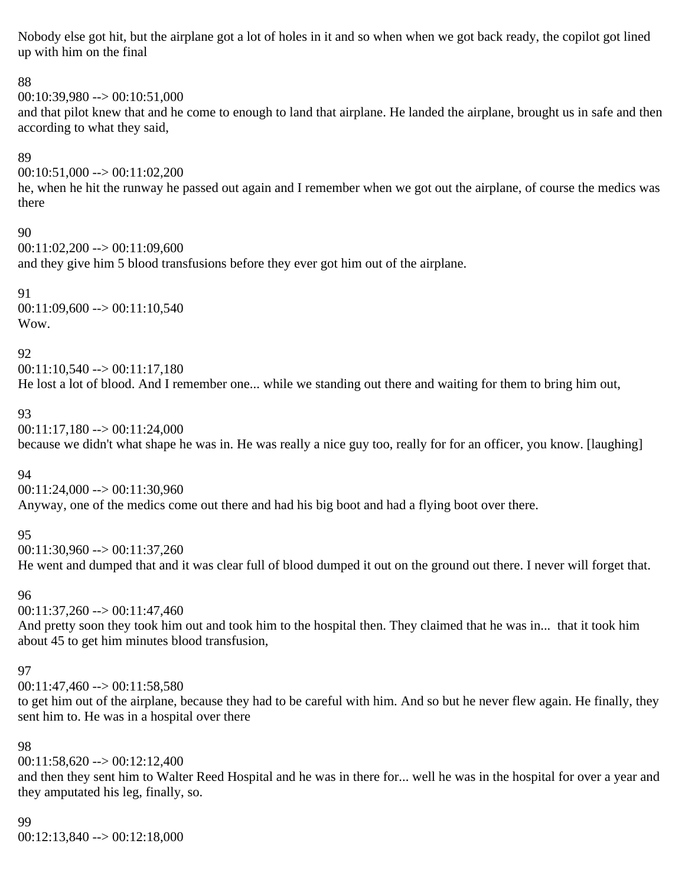Nobody else got hit, but the airplane got a lot of holes in it and so when when we got back ready, the copilot got lined up with him on the final

### 88

00:10:39,980 --> 00:10:51,000

and that pilot knew that and he come to enough to land that airplane. He landed the airplane, brought us in safe and then according to what they said,

### 89

 $00:10:51,000 \rightarrow 00:11:02,200$ 

he, when he hit the runway he passed out again and I remember when we got out the airplane, of course the medics was there

### 90

 $00:11:02,200 \rightarrow 00:11:09,600$ 

and they give him 5 blood transfusions before they ever got him out of the airplane.

#### 91  $00:11:09,600 \rightarrow 00:11:10,540$ Wow.

### 92

00:11:10,540 --> 00:11:17,180 He lost a lot of blood. And I remember one... while we standing out there and waiting for them to bring him out,

### 93

00:11:17,180 --> 00:11:24,000

because we didn't what shape he was in. He was really a nice guy too, really for for an officer, you know. [laughing]

### 94

00:11:24,000 --> 00:11:30,960 Anyway, one of the medics come out there and had his big boot and had a flying boot over there.

### 95

00:11:30,960 --> 00:11:37,260 He went and dumped that and it was clear full of blood dumped it out on the ground out there. I never will forget that.

### 96

 $00:11:37,260 \rightarrow 00:11:47,460$ 

And pretty soon they took him out and took him to the hospital then. They claimed that he was in... that it took him about 45 to get him minutes blood transfusion,

### 97

00:11:47,460 --> 00:11:58,580

to get him out of the airplane, because they had to be careful with him. And so but he never flew again. He finally, they sent him to. He was in a hospital over there

### 98

 $00:11:58,620 \rightarrow 00:12:12,400$ 

and then they sent him to Walter Reed Hospital and he was in there for... well he was in the hospital for over a year and they amputated his leg, finally, so.

# 99

00:12:13,840 --> 00:12:18,000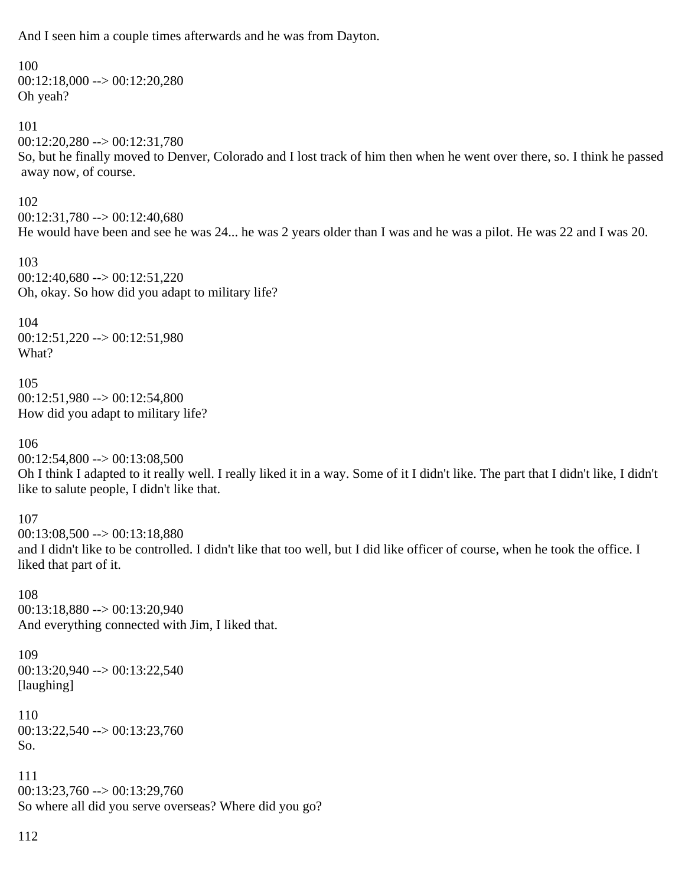And I seen him a couple times afterwards and he was from Dayton.

100  $00:12:18,000 \rightarrow 00:12:20,280$ Oh yeah? 101 00:12:20,280 --> 00:12:31,780 So, but he finally moved to Denver, Colorado and I lost track of him then when he went over there, so. I think he passed away now, of course. 102  $00:12:31.780 \rightarrow 00:12:40.680$ He would have been and see he was 24... he was 2 years older than I was and he was a pilot. He was 22 and I was 20. 103 00:12:40,680 --> 00:12:51,220 Oh, okay. So how did you adapt to military life? 104 00:12:51,220 --> 00:12:51,980 What? 105 00:12:51,980 --> 00:12:54,800 How did you adapt to military life? 106 00:12:54,800 --> 00:13:08,500 Oh I think I adapted to it really well. I really liked it in a way. Some of it I didn't like. The part that I didn't like, I didn't like to salute people, I didn't like that. 107  $00:13:08,500 \rightarrow 00:13:18,880$ and I didn't like to be controlled. I didn't like that too well, but I did like officer of course, when he took the office. I liked that part of it. 108 00:13:18,880 --> 00:13:20,940 And everything connected with Jim, I liked that. 109 00:13:20,940 --> 00:13:22,540 [laughing] 110 00:13:22,540 --> 00:13:23,760 So. 111 00:13:23,760 --> 00:13:29,760 So where all did you serve overseas? Where did you go?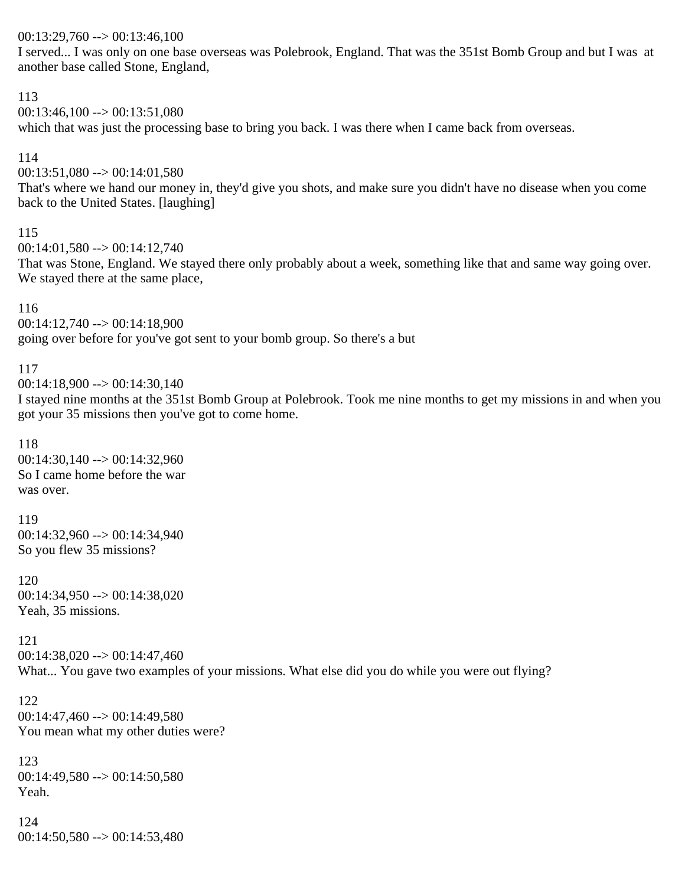### $00:13:29,760 \rightarrow 00:13:46,100$

I served... I was only on one base overseas was Polebrook, England. That was the 351st Bomb Group and but I was at another base called Stone, England,

### 113

 $00:13:46,100 \rightarrow 00:13:51.080$ 

which that was just the processing base to bring you back. I was there when I came back from overseas.

### 114

 $00:13:51,080 \rightarrow 00:14:01,580$ 

That's where we hand our money in, they'd give you shots, and make sure you didn't have no disease when you come back to the United States. [laughing]

### 115

 $00:14:01.580 \rightarrow 00:14:12.740$ 

That was Stone, England. We stayed there only probably about a week, something like that and same way going over. We stayed there at the same place,

### 116

00:14:12,740 --> 00:14:18,900 going over before for you've got sent to your bomb group. So there's a but

### 117

 $00:14:18,900 \rightarrow 00:14:30,140$ 

I stayed nine months at the 351st Bomb Group at Polebrook. Took me nine months to get my missions in and when you got your 35 missions then you've got to come home.

### 118

00:14:30,140 --> 00:14:32,960 So I came home before the war was over.

# 119

00:14:32,960 --> 00:14:34,940 So you flew 35 missions?

### 120 00:14:34,950 --> 00:14:38,020 Yeah, 35 missions.

121  $00:14:38,020 \rightarrow 00:14:47,460$ What... You gave two examples of your missions. What else did you do while you were out flying?

```
122
00:14:47,460 --> 00:14:49,580
You mean what my other duties were?
```

```
123
00:14:49,580 --> 00:14:50,580
Yeah.
```
124  $00:14:50,580 \rightarrow 00:14:53,480$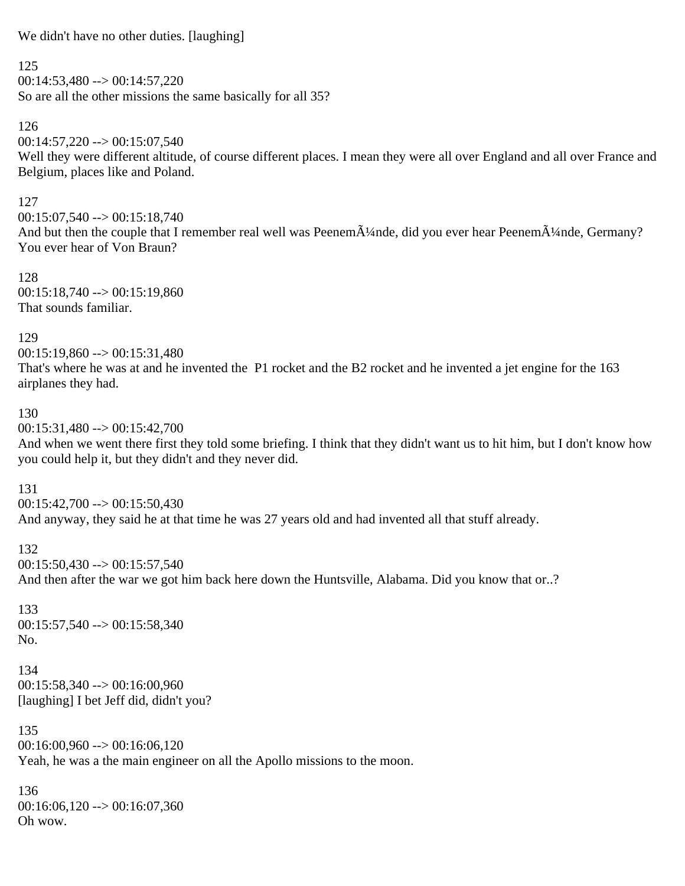We didn't have no other duties. [laughing]

### 125

 $00:14:53,480 \rightarrow 00:14:57,220$ So are all the other missions the same basically for all 35?

# 126

 $00:14:57,220 \rightarrow 00:15:07,540$ 

Well they were different altitude, of course different places. I mean they were all over England and all over France and Belgium, places like and Poland.

### 127

 $00:15:07,540 \rightarrow 00:15:18,740$ And but then the couple that I remember real well was Peenem $\tilde{A}$ <sup>1</sup>/4nde, did you ever hear Peenem $\tilde{A}$ <sup>1</sup>/4nde, Germany? You ever hear of Von Braun?

128  $00:15:18,740 \rightarrow 00:15:19,860$ That sounds familiar.

### 129

 $00:15:19.860 \rightarrow 00:15:31.480$ That's where he was at and he invented the P1 rocket and the B2 rocket and he invented a jet engine for the 163 airplanes they had.

### 130

00:15:31,480 --> 00:15:42,700

And when we went there first they told some briefing. I think that they didn't want us to hit him, but I don't know how you could help it, but they didn't and they never did.

### 131

 $00:15:42,700 \rightarrow 00:15:50.430$ And anyway, they said he at that time he was 27 years old and had invented all that stuff already.

### 132

 $00:15:50,430 \rightarrow 00:15:57,540$ And then after the war we got him back here down the Huntsville, Alabama. Did you know that or..?

133 00:15:57,540 --> 00:15:58,340 No.

134  $00:15:58.340 \rightarrow 00:16:00.960$ [laughing] I bet Jeff did, didn't you?

135  $00:16:00.960 \rightarrow 00:16:06.120$ Yeah, he was a the main engineer on all the Apollo missions to the moon.

136  $00:16:06,120 \rightarrow 00:16:07,360$ Oh wow.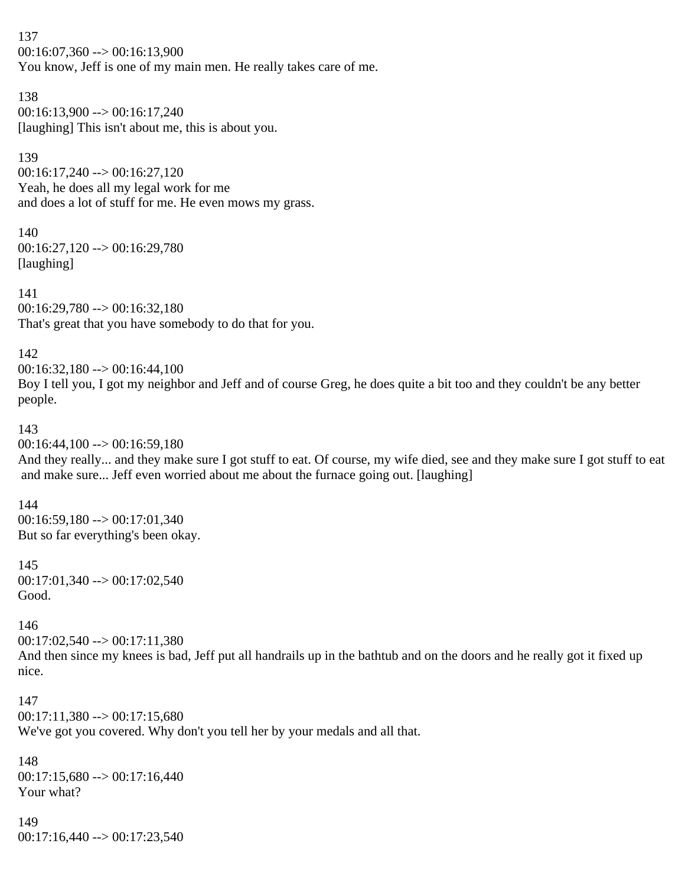137 00:16:07,360 --> 00:16:13,900 You know, Jeff is one of my main men. He really takes care of me.

138  $00:16:13,900 \rightarrow 00:16:17,240$ [laughing] This isn't about me, this is about you.

139  $00:16:17,240 \rightarrow 00:16:27,120$ Yeah, he does all my legal work for me and does a lot of stuff for me. He even mows my grass.

140 00:16:27,120 --> 00:16:29,780 [laughing]

141 00:16:29,780 --> 00:16:32,180 That's great that you have somebody to do that for you.

142

00:16:32,180 --> 00:16:44,100 Boy I tell you, I got my neighbor and Jeff and of course Greg, he does quite a bit too and they couldn't be any better people.

143

 $00:16:44,100 \rightarrow 00:16:59,180$ 

And they really... and they make sure I got stuff to eat. Of course, my wife died, see and they make sure I got stuff to eat and make sure... Jeff even worried about me about the furnace going out. [laughing]

144

00:16:59,180 --> 00:17:01,340 But so far everything's been okay.

145 00:17:01,340 --> 00:17:02,540 Good.

146

00:17:02,540 --> 00:17:11,380

And then since my knees is bad, Jeff put all handrails up in the bathtub and on the doors and he really got it fixed up nice.

147  $00:17:11.380 \rightarrow 00:17:15.680$ We've got you covered. Why don't you tell her by your medals and all that.

148  $00:17:15,680 \rightarrow 00:17:16,440$ Your what?

149  $00:17:16,440 \rightarrow 00:17:23,540$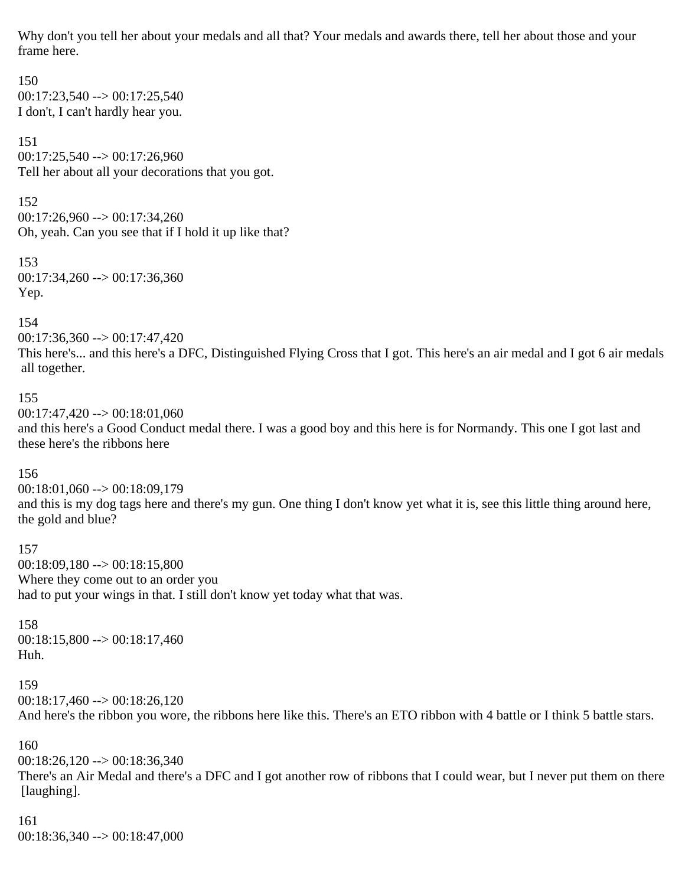Why don't you tell her about your medals and all that? Your medals and awards there, tell her about those and your frame here.

150  $00:17:23,540 \rightarrow 00:17:25,540$ I don't, I can't hardly hear you.

151  $00:17:25,540 \rightarrow 00:17:26,960$ Tell her about all your decorations that you got.

152 00:17:26,960 --> 00:17:34,260 Oh, yeah. Can you see that if I hold it up like that?

153  $00:17:34,260 \rightarrow 00:17:36,360$ Yep.

154

 $00:17:36,360 \rightarrow 00:17:47,420$ 

This here's... and this here's a DFC, Distinguished Flying Cross that I got. This here's an air medal and I got 6 air medals all together.

### 155

 $00:17:47,420 \rightarrow 00:18:01,060$ and this here's a Good Conduct medal there. I was a good boy and this here is for Normandy. This one I got last and these here's the ribbons here

### 156

00:18:01,060 --> 00:18:09,179 and this is my dog tags here and there's my gun. One thing I don't know yet what it is, see this little thing around here, the gold and blue?

### 157

00:18:09,180 --> 00:18:15,800 Where they come out to an order you had to put your wings in that. I still don't know yet today what that was.

### 158

00:18:15,800 --> 00:18:17,460 Huh.

### 159

 $00:18:17,460 \rightarrow 00:18:26,120$ And here's the ribbon you wore, the ribbons here like this. There's an ETO ribbon with 4 battle or I think 5 battle stars.

#### 160

 $00:18:26,120 \rightarrow 00:18:36,340$ There's an Air Medal and there's a DFC and I got another row of ribbons that I could wear, but I never put them on there [laughing].

### 161 00:18:36,340 --> 00:18:47,000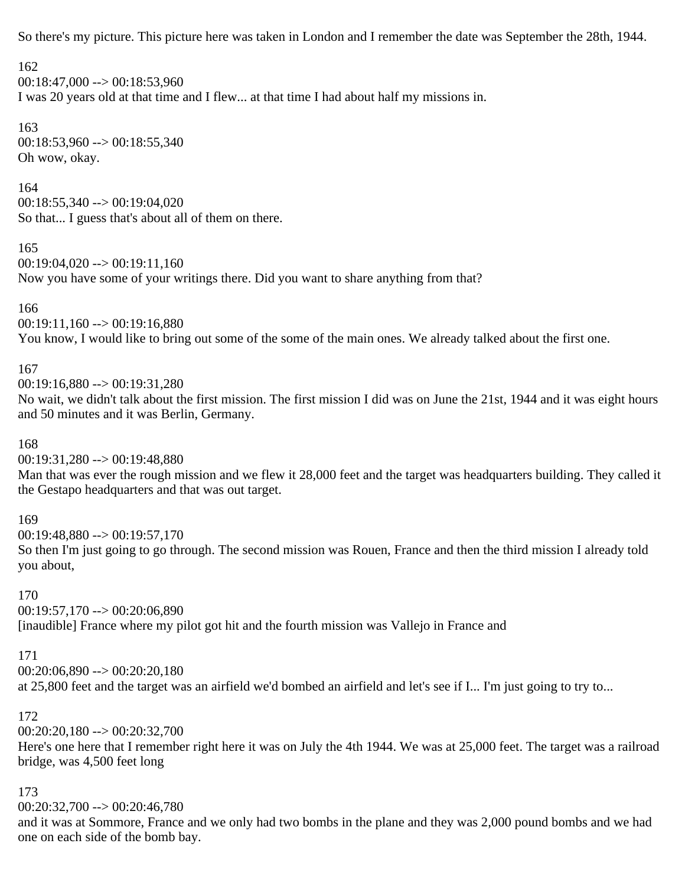So there's my picture. This picture here was taken in London and I remember the date was September the 28th, 1944.

### 162

 $00:18:47,000 \rightarrow 00:18:53,960$ I was 20 years old at that time and I flew... at that time I had about half my missions in.

163  $00:18:53,960 \rightarrow 00:18:55,340$ Oh wow, okay.

### 164

 $00:18:55,340 \rightarrow 00:19:04,020$ So that... I guess that's about all of them on there.

### 165

```
00:19:04,020 \rightarrow 00:19:11,160
```
Now you have some of your writings there. Did you want to share anything from that?

### 166

 $00:19:11,160 \rightarrow 00:19:16,880$ 

You know, I would like to bring out some of the some of the main ones. We already talked about the first one.

### 167

00:19:16,880 --> 00:19:31,280

No wait, we didn't talk about the first mission. The first mission I did was on June the 21st, 1944 and it was eight hours and 50 minutes and it was Berlin, Germany.

### 168

 $00:19:31,280 \rightarrow 00:19:48,880$ 

Man that was ever the rough mission and we flew it 28,000 feet and the target was headquarters building. They called it the Gestapo headquarters and that was out target.

### 169

00:19:48,880 --> 00:19:57,170 So then I'm just going to go through. The second mission was Rouen, France and then the third mission I already told you about,

### 170

00:19:57,170 --> 00:20:06,890

[inaudible] France where my pilot got hit and the fourth mission was Vallejo in France and

### 171

00:20:06,890 --> 00:20:20,180

at 25,800 feet and the target was an airfield we'd bombed an airfield and let's see if I... I'm just going to try to...

### 172

00:20:20,180 --> 00:20:32,700

Here's one here that I remember right here it was on July the 4th 1944. We was at 25,000 feet. The target was a railroad bridge, was 4,500 feet long

### 173

00:20:32,700 --> 00:20:46,780

and it was at Sommore, France and we only had two bombs in the plane and they was 2,000 pound bombs and we had one on each side of the bomb bay.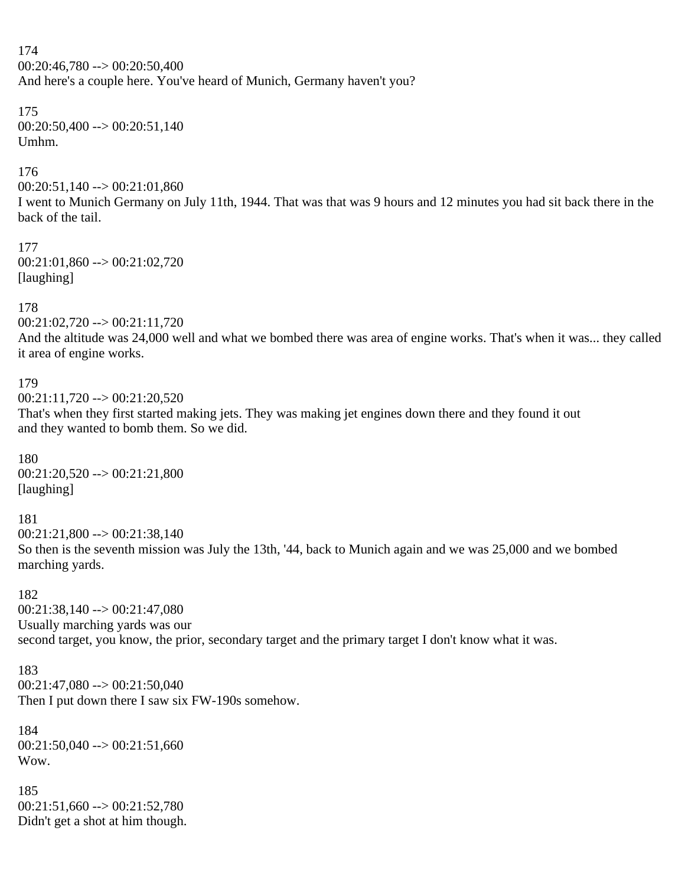174 00:20:46,780 --> 00:20:50,400 And here's a couple here. You've heard of Munich, Germany haven't you?

#### 175  $00:20:50,400 \rightarrow 00:20:51,140$ Umhm.

### 176

 $00:20:51,140 \rightarrow 00:21:01,860$ 

I went to Munich Germany on July 11th, 1944. That was that was 9 hours and 12 minutes you had sit back there in the back of the tail.

177 00:21:01,860 --> 00:21:02,720 [laughing]

### 178

00:21:02,720 --> 00:21:11,720

And the altitude was 24,000 well and what we bombed there was area of engine works. That's when it was... they called it area of engine works.

### 179

 $00:21:11,720 \rightarrow 00:21:20,520$ 

That's when they first started making jets. They was making jet engines down there and they found it out and they wanted to bomb them. So we did.

180 00:21:20,520 --> 00:21:21,800 [laughing]

181

 $00:21:21,800 \rightarrow 00:21:38,140$ So then is the seventh mission was July the 13th, '44, back to Munich again and we was 25,000 and we bombed marching yards.

#### 182

00:21:38,140 --> 00:21:47,080 Usually marching yards was our second target, you know, the prior, secondary target and the primary target I don't know what it was.

183

 $00:21:47,080 \rightarrow 00:21:50,040$ 

Then I put down there I saw six FW-190s somehow.

184  $00:21:50,040 \rightarrow 00:21:51,660$ Wow.

185  $00:21:51,660 \rightarrow 00:21:52,780$ Didn't get a shot at him though.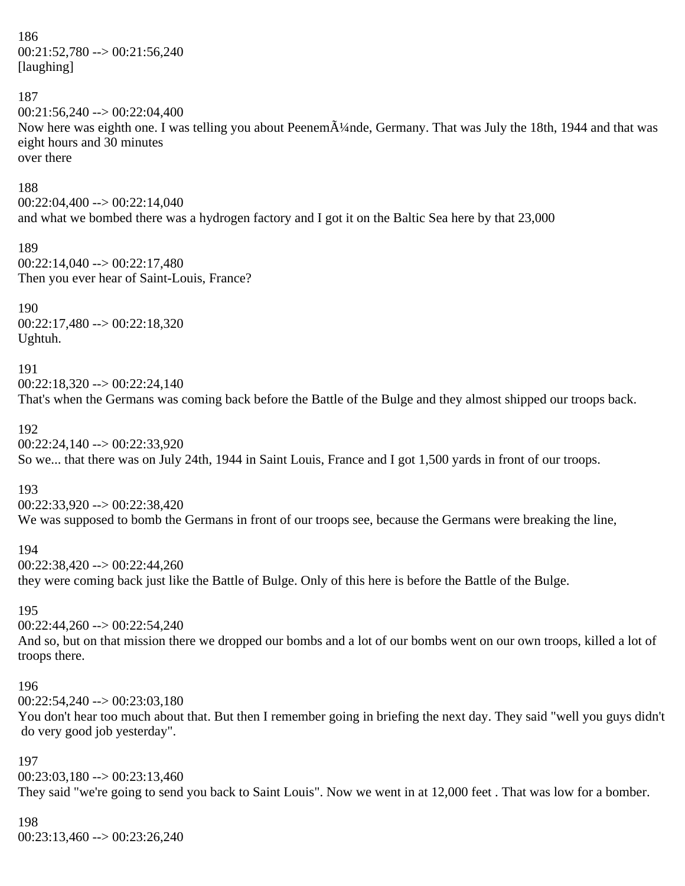186 00:21:52,780 --> 00:21:56,240 [laughing]

187

 $00:21:56,240 \rightarrow 00:22:04,400$ Now here was eighth one. I was telling you about Peenem $\tilde{A}$ <sup>1</sup>/4nde, Germany. That was July the 18th, 1944 and that was eight hours and 30 minutes over there

188

 $00:22:04,400 \rightarrow 00:22:14,040$ and what we bombed there was a hydrogen factory and I got it on the Baltic Sea here by that 23,000

189 00:22:14,040 --> 00:22:17,480 Then you ever hear of Saint-Louis, France?

190 00:22:17,480 --> 00:22:18,320 Ughtuh.

191

 $00:22:18.320 \rightarrow 00:22:24.140$ That's when the Germans was coming back before the Battle of the Bulge and they almost shipped our troops back.

192

00:22:24,140 --> 00:22:33,920 So we... that there was on July 24th, 1944 in Saint Louis, France and I got 1,500 yards in front of our troops.

193

00:22:33,920 --> 00:22:38,420 We was supposed to bomb the Germans in front of our troops see, because the Germans were breaking the line,

194 00:22:38,420 --> 00:22:44,260 they were coming back just like the Battle of Bulge. Only of this here is before the Battle of the Bulge.

195

00:22:44,260 --> 00:22:54,240 And so, but on that mission there we dropped our bombs and a lot of our bombs went on our own troops, killed a lot of troops there.

#### 196

 $00:22:54,240 \rightarrow 00:23:03,180$ You don't hear too much about that. But then I remember going in briefing the next day. They said "well you guys didn't do very good job yesterday".

197

 $00:23:03,180 \rightarrow 00:23:13,460$ They said "we're going to send you back to Saint Louis". Now we went in at 12,000 feet . That was low for a bomber.

# 198

 $00:23:13,460 \rightarrow 00:23:26,240$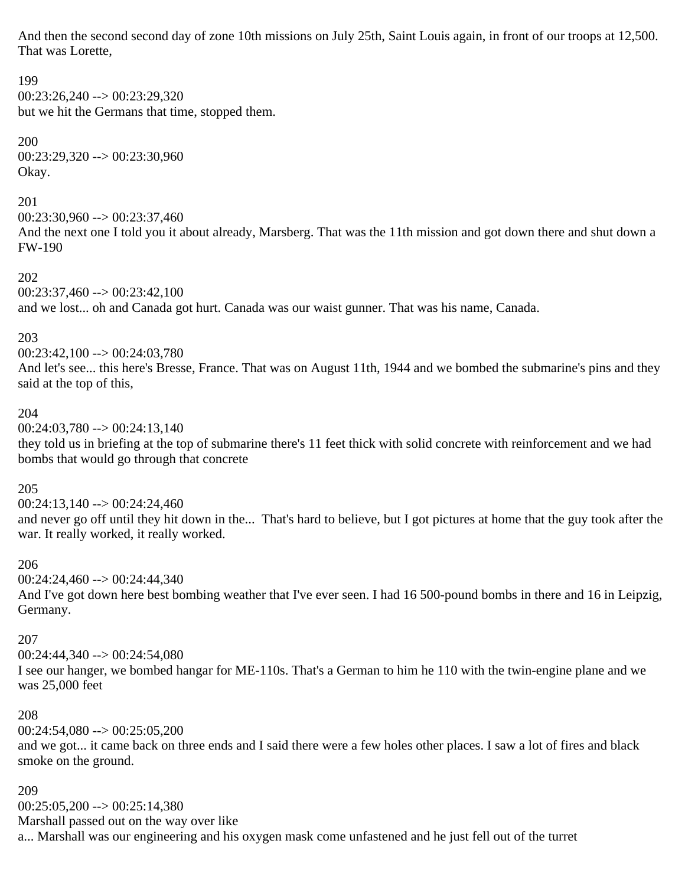And then the second second day of zone 10th missions on July 25th, Saint Louis again, in front of our troops at 12,500. That was Lorette,

# 199 00:23:26,240 --> 00:23:29,320 but we hit the Germans that time, stopped them. 200 00:23:29,320 --> 00:23:30,960 Okay. 201  $00:23:30,960 \rightarrow 00:23:37,460$ And the next one I told you it about already, Marsberg. That was the 11th mission and got down there and shut down a FW-190 202  $00:23:37,460 \rightarrow 00:23:42,100$ and we lost... oh and Canada got hurt. Canada was our waist gunner. That was his name, Canada. 203 00:23:42,100 --> 00:24:03,780 And let's see... this here's Bresse, France. That was on August 11th, 1944 and we bombed the submarine's pins and they said at the top of this, 204  $00:24:03,780 \rightarrow 00:24:13,140$ they told us in briefing at the top of submarine there's 11 feet thick with solid concrete with reinforcement and we had bombs that would go through that concrete

### 205

 $00:24:13,140 \rightarrow 00:24:24,460$ and never go off until they hit down in the... That's hard to believe, but I got pictures at home that the guy took after the war. It really worked, it really worked.

### 206

00:24:24,460 --> 00:24:44,340 And I've got down here best bombing weather that I've ever seen. I had 16 500-pound bombs in there and 16 in Leipzig, Germany.

### 207

00:24:44,340 --> 00:24:54,080

I see our hanger, we bombed hangar for ME-110s. That's a German to him he 110 with the twin-engine plane and we was 25,000 feet

### 208

 $00:24:54,080 \rightarrow 00:25:05,200$ 

and we got... it came back on three ends and I said there were a few holes other places. I saw a lot of fires and black smoke on the ground.

### 209

 $00:25:05,200 \rightarrow 00:25:14,380$ Marshall passed out on the way over like a... Marshall was our engineering and his oxygen mask come unfastened and he just fell out of the turret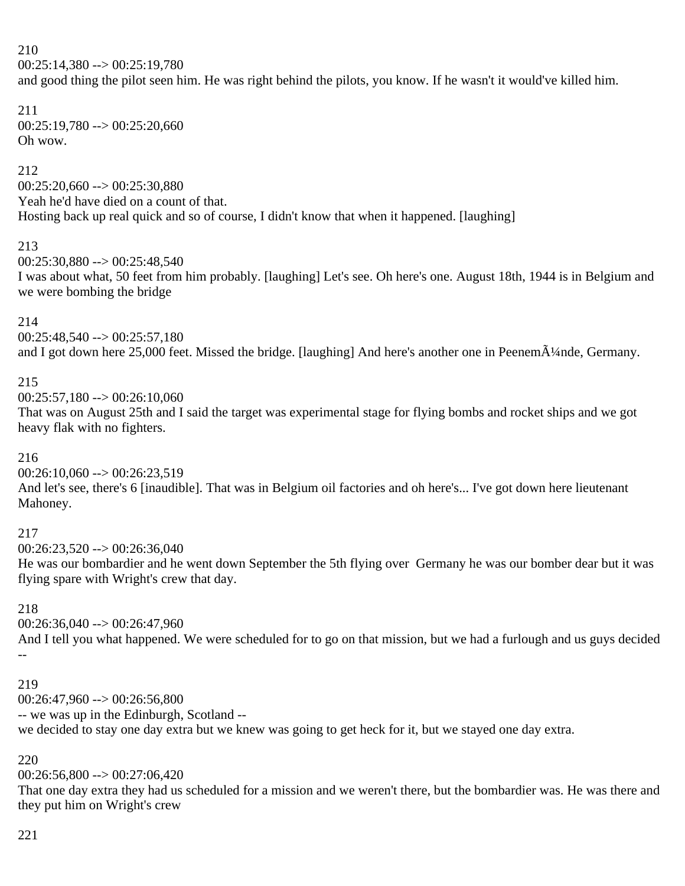### 210

 $00:25:14.380 \rightarrow 00:25:19.780$ 

and good thing the pilot seen him. He was right behind the pilots, you know. If he wasn't it would've killed him.

### 211  $00:25:19,780 \rightarrow 00:25:20,660$ Oh wow.

### 212

 $00:25:20.660 \rightarrow 00:25:30.880$ Yeah he'd have died on a count of that. Hosting back up real quick and so of course, I didn't know that when it happened. [laughing]

### 213

 $00:25:30,880 \rightarrow 00:25:48,540$ 

I was about what, 50 feet from him probably. [laughing] Let's see. Oh here's one. August 18th, 1944 is in Belgium and we were bombing the bridge

### 214

 $00:25:48,540 \rightarrow 00:25:57,180$ and I got down here 25,000 feet. Missed the bridge. [laughing] And here's another one in Peenem $\tilde{A}$ !/4nde, Germany.

### 215

 $00:25:57,180 \rightarrow 00:26:10,060$ 

That was on August 25th and I said the target was experimental stage for flying bombs and rocket ships and we got heavy flak with no fighters.

### 216

 $00:26:10,060 \rightarrow 00:26:23,519$ 

And let's see, there's 6 [inaudible]. That was in Belgium oil factories and oh here's... I've got down here lieutenant Mahoney.

### 217

 $00:26:23,520 \rightarrow 00:26:36,040$ 

He was our bombardier and he went down September the 5th flying over Germany he was our bomber dear but it was flying spare with Wright's crew that day.

### 218

 $00:26:36.040 \rightarrow 00:26:47.960$ 

And I tell you what happened. We were scheduled for to go on that mission, but we had a furlough and us guys decided --

### 219

 $00:26:47,960 \rightarrow 00:26:56,800$ -- we was up in the Edinburgh, Scotland - we decided to stay one day extra but we knew was going to get heck for it, but we stayed one day extra.

### 220

 $00:26:56,800 \rightarrow 00:27:06,420$ 

That one day extra they had us scheduled for a mission and we weren't there, but the bombardier was. He was there and they put him on Wright's crew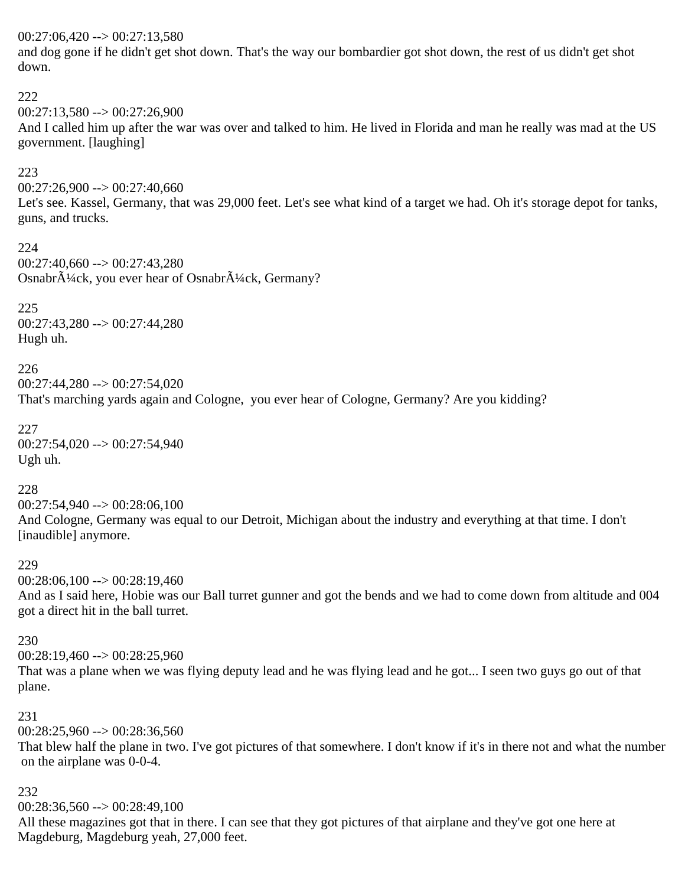### $00:27:06,420 \rightarrow 00:27:13,580$

and dog gone if he didn't get shot down. That's the way our bombardier got shot down, the rest of us didn't get shot down.

#### 222

 $00:27:13.580 \rightarrow 00:27:26.900$ 

And I called him up after the war was over and talked to him. He lived in Florida and man he really was mad at the US government. [laughing]

### 223

 $00:27:26,900 \rightarrow 00:27:40,660$ 

Let's see. Kassel, Germany, that was 29,000 feet. Let's see what kind of a target we had. Oh it's storage depot for tanks, guns, and trucks.

224  $00:27:40,660 \rightarrow 00:27:43,280$ Osnabr $\tilde{A}^{1}/4$ ck, you ever hear of Osnabr $\tilde{A}^{1}/4$ ck, Germany?

225 00:27:43,280 --> 00:27:44,280 Hugh uh.

226  $00:27:44.280 \rightarrow 00:27:54.020$ That's marching yards again and Cologne, you ever hear of Cologne, Germany? Are you kidding?

227 00:27:54,020 --> 00:27:54,940 Ugh uh.

### 228

00:27:54,940 --> 00:28:06,100 And Cologne, Germany was equal to our Detroit, Michigan about the industry and everything at that time. I don't [inaudible] anymore.

### 229

 $00:28:06,100 \rightarrow 00:28:19,460$ 

And as I said here, Hobie was our Ball turret gunner and got the bends and we had to come down from altitude and 004 got a direct hit in the ball turret.

### 230

 $00:28:19,460 \rightarrow 00:28:25,960$ 

That was a plane when we was flying deputy lead and he was flying lead and he got... I seen two guys go out of that plane.

### 231

 $00:28:25,960 \rightarrow 00:28:36,560$ 

That blew half the plane in two. I've got pictures of that somewhere. I don't know if it's in there not and what the number on the airplane was 0-0-4.

### 232

 $00:28:36,560 \rightarrow 00:28:49,100$ 

All these magazines got that in there. I can see that they got pictures of that airplane and they've got one here at Magdeburg, Magdeburg yeah, 27,000 feet.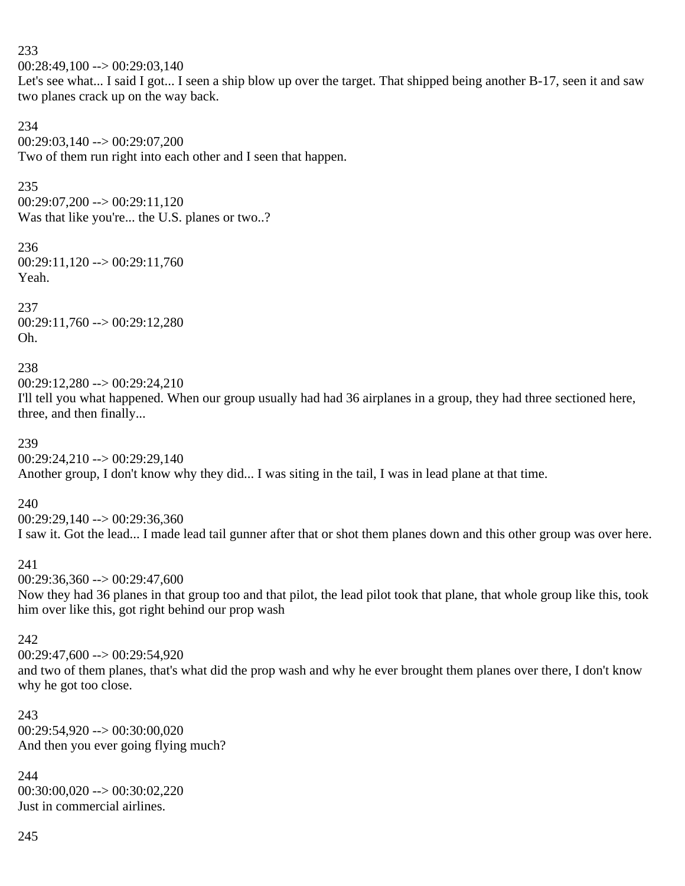233  $00:28:49,100 \rightarrow 00:29:03,140$ Let's see what... I said I got... I seen a ship blow up over the target. That shipped being another B-17, seen it and saw two planes crack up on the way back.

234 00:29:03,140 --> 00:29:07,200 Two of them run right into each other and I seen that happen.

235

 $00:29:07,200 \rightarrow 00:29:11,120$ Was that like you're... the U.S. planes or two..?

236 00:29:11,120 --> 00:29:11,760 Yeah.

237 00:29:11,760 --> 00:29:12,280 Oh.

238

 $00:29:12.280 \rightarrow 00:29:24.210$ 

I'll tell you what happened. When our group usually had had 36 airplanes in a group, they had three sectioned here, three, and then finally...

239

 $00:29:24,210 \rightarrow 00:29:29,140$ Another group, I don't know why they did... I was siting in the tail, I was in lead plane at that time.

240

 $00:29:29.140 \rightarrow 00:29:36.360$ 

I saw it. Got the lead... I made lead tail gunner after that or shot them planes down and this other group was over here.

### 241

 $00:29:36.360 \rightarrow 00:29:47.600$ 

Now they had 36 planes in that group too and that pilot, the lead pilot took that plane, that whole group like this, took him over like this, got right behind our prop wash

242

 $00:29:47,600 \rightarrow 00:29:54.920$ 

and two of them planes, that's what did the prop wash and why he ever brought them planes over there, I don't know why he got too close.

243  $00:29:54,920 \rightarrow 00:30:00,020$ And then you ever going flying much?

244 00:30:00,020 --> 00:30:02,220 Just in commercial airlines.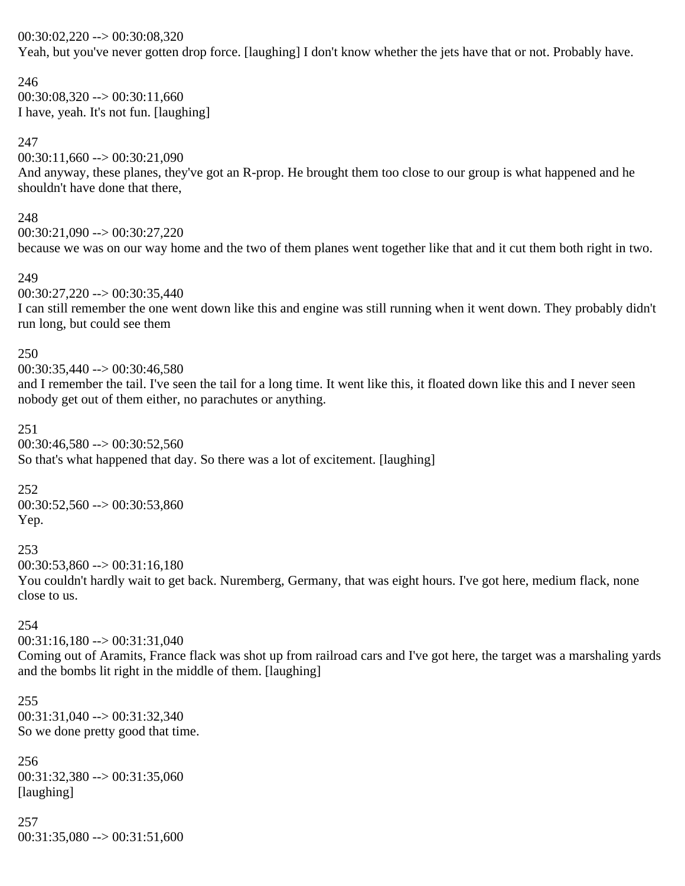### 00:30:02,220 --> 00:30:08,320

Yeah, but you've never gotten drop force. [laughing] I don't know whether the jets have that or not. Probably have.

246  $00:30:08,320 \rightarrow 00:30:11,660$ I have, yeah. It's not fun. [laughing]

### 247

 $00:30:11,660 \rightarrow 00:30:21,090$ And anyway, these planes, they've got an R-prop. He brought them too close to our group is what happened and he shouldn't have done that there,

### 248

00:30:21,090 --> 00:30:27,220 because we was on our way home and the two of them planes went together like that and it cut them both right in two.

### 249

 $00:30:27,220 \rightarrow 00:30:35,440$ 

I can still remember the one went down like this and engine was still running when it went down. They probably didn't run long, but could see them

#### 250

00:30:35,440 --> 00:30:46,580

and I remember the tail. I've seen the tail for a long time. It went like this, it floated down like this and I never seen nobody get out of them either, no parachutes or anything.

#### 251

00:30:46,580 --> 00:30:52,560 So that's what happened that day. So there was a lot of excitement. [laughing]

#### 252

 $00:30:52,560 \rightarrow 00:30:53,860$ Yep.

#### 253

 $00:30:53,860 \rightarrow 00:31:16,180$ 

You couldn't hardly wait to get back. Nuremberg, Germany, that was eight hours. I've got here, medium flack, none close to us.

### 254

 $00:31:16,180 \rightarrow 00:31:31,040$ 

Coming out of Aramits, France flack was shot up from railroad cars and I've got here, the target was a marshaling yards and the bombs lit right in the middle of them. [laughing]

#### 255 00:31:31,040 --> 00:31:32,340 So we done pretty good that time.

256  $00:31:32,380 \rightarrow 00:31:35,060$ [laughing]

### 257  $00:31:35,080 \rightarrow 00:31:51,600$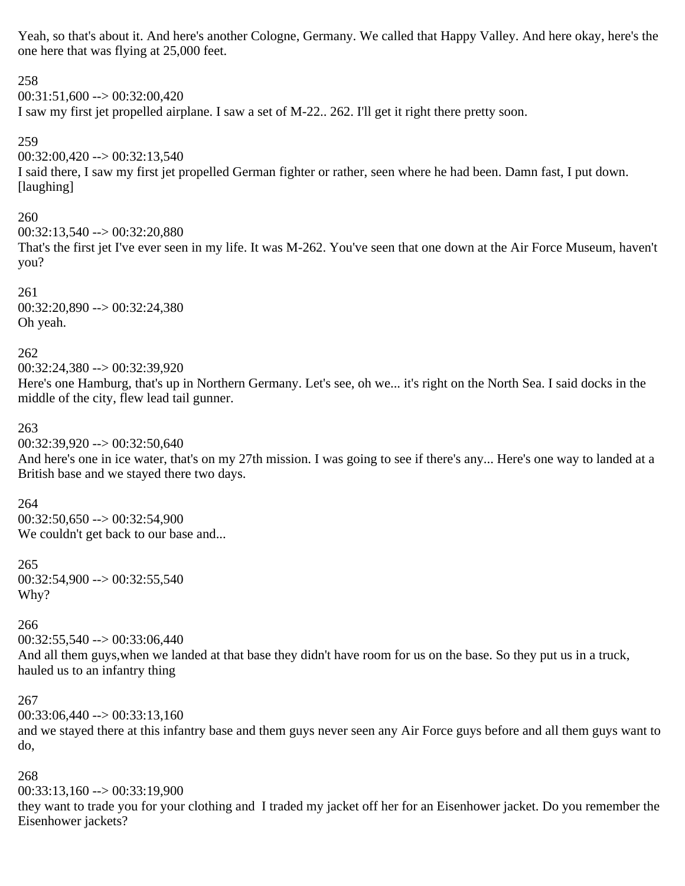Yeah, so that's about it. And here's another Cologne, Germany. We called that Happy Valley. And here okay, here's the one here that was flying at 25,000 feet.

258 00:31:51,600 --> 00:32:00,420 I saw my first jet propelled airplane. I saw a set of M-22.. 262. I'll get it right there pretty soon. 259  $00:32:00,420 \rightarrow 00:32:13,540$ I said there, I saw my first jet propelled German fighter or rather, seen where he had been. Damn fast, I put down. [laughing] 260

 $00:32:13,540 \rightarrow 00:32:20,880$ That's the first jet I've ever seen in my life. It was M-262. You've seen that one down at the Air Force Museum, haven't you?

261 00:32:20,890 --> 00:32:24,380 Oh yeah.

262 00:32:24,380 --> 00:32:39,920 Here's one Hamburg, that's up in Northern Germany. Let's see, oh we... it's right on the North Sea. I said docks in the middle of the city, flew lead tail gunner.

263

 $00:32:39,920 \rightarrow 00:32:50,640$ 

And here's one in ice water, that's on my 27th mission. I was going to see if there's any... Here's one way to landed at a British base and we stayed there two days.

264  $00:32:50.650 \rightarrow 00:32:54.900$ We couldn't get back to our base and...

265  $00:32:54,900 \rightarrow 00:32:55,540$ Why?

266

 $00:32:55,540 \rightarrow 00:33:06,440$ 

And all them guys,when we landed at that base they didn't have room for us on the base. So they put us in a truck, hauled us to an infantry thing

267

 $00:33:06.440 \rightarrow 00:33:13.160$ 

and we stayed there at this infantry base and them guys never seen any Air Force guys before and all them guys want to do,

268

 $00:33:13.160 \rightarrow 00:33:19.900$ they want to trade you for your clothing and I traded my jacket off her for an Eisenhower jacket. Do you remember the Eisenhower jackets?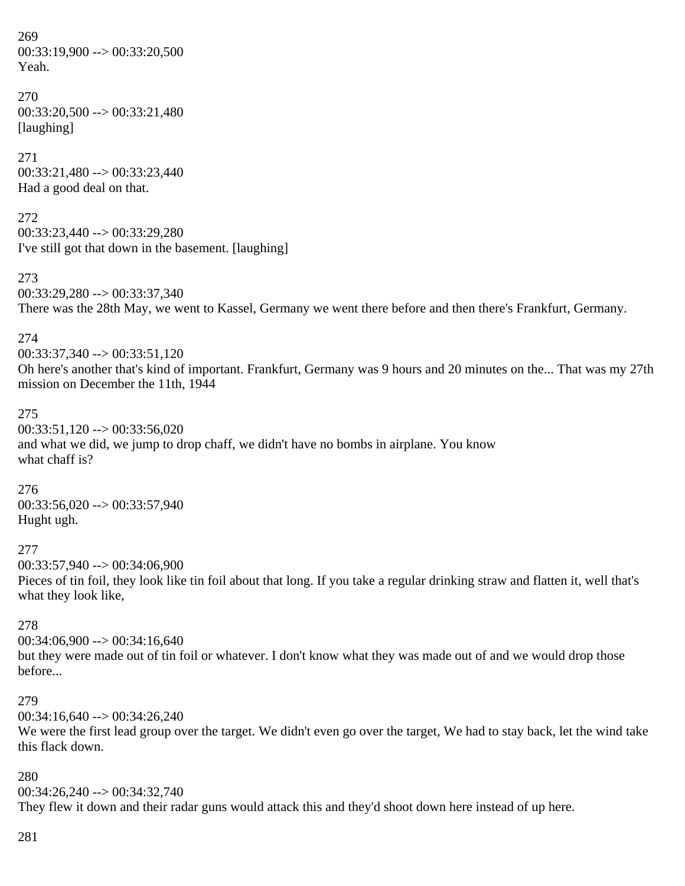269 00:33:19,900 --> 00:33:20,500 Yeah.

270 00:33:20,500 --> 00:33:21,480 [laughing]

271  $00:33:21,480 \rightarrow 00:33:23,440$ Had a good deal on that.

272 00:33:23,440 --> 00:33:29,280 I've still got that down in the basement. [laughing]

273 00:33:29,280 --> 00:33:37,340 There was the 28th May, we went to Kassel, Germany we went there before and then there's Frankfurt, Germany.

274

00:33:37,340 --> 00:33:51,120 Oh here's another that's kind of important. Frankfurt, Germany was 9 hours and 20 minutes on the... That was my 27th mission on December the 11th, 1944

275

00:33:51,120 --> 00:33:56,020 and what we did, we jump to drop chaff, we didn't have no bombs in airplane. You know what chaff is?

276  $00:33:56,020 \rightarrow 00:33:57,940$ Hught ugh.

277

00:33:57,940 --> 00:34:06,900

Pieces of tin foil, they look like tin foil about that long. If you take a regular drinking straw and flatten it, well that's what they look like,

278

 $00:34:06,900 \rightarrow 00:34:16,640$ but they were made out of tin foil or whatever. I don't know what they was made out of and we would drop those before...

### 279

 $00:34:16,640 \rightarrow 00:34:26,240$ 

We were the first lead group over the target. We didn't even go over the target, We had to stay back, let the wind take this flack down.

### 280

00:34:26,240 --> 00:34:32,740 They flew it down and their radar guns would attack this and they'd shoot down here instead of up here.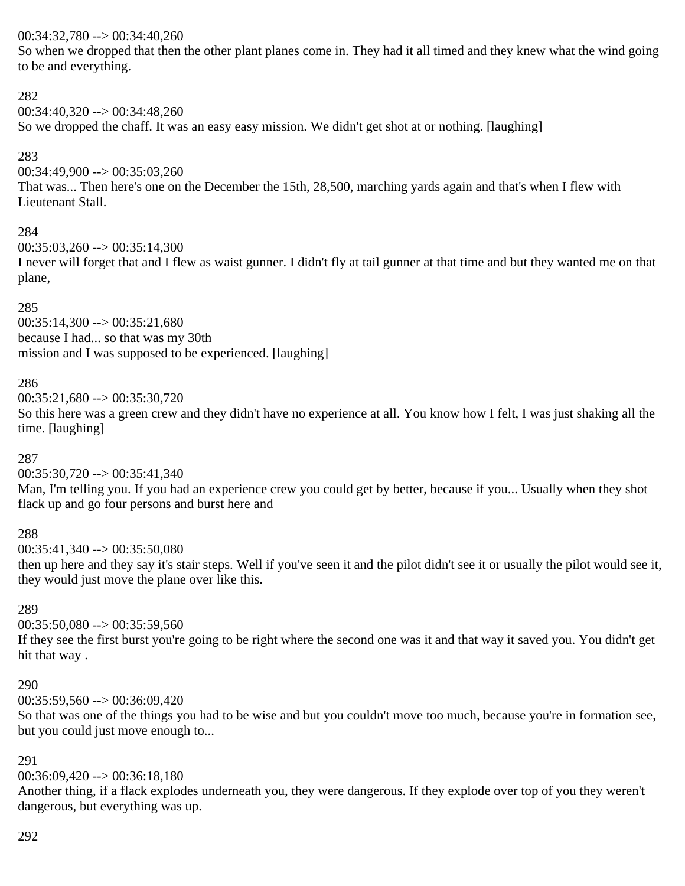### 00:34:32,780 --> 00:34:40,260

So when we dropped that then the other plant planes come in. They had it all timed and they knew what the wind going to be and everything.

### 282

00:34:40,320 --> 00:34:48,260

So we dropped the chaff. It was an easy easy mission. We didn't get shot at or nothing. [laughing]

### 283

00:34:49,900 --> 00:35:03,260

That was... Then here's one on the December the 15th, 28,500, marching yards again and that's when I flew with Lieutenant Stall.

### 284

 $00:35:03.260 \rightarrow 00:35:14.300$ 

I never will forget that and I flew as waist gunner. I didn't fly at tail gunner at that time and but they wanted me on that plane,

285  $00:35:14,300 \rightarrow 00:35:21,680$ because I had... so that was my 30th mission and I was supposed to be experienced. [laughing]

### 286

 $00:35:21,680 \rightarrow 00:35:30,720$ 

So this here was a green crew and they didn't have no experience at all. You know how I felt, I was just shaking all the time. [laughing]

### 287

 $00:35:30,720 \rightarrow 00:35:41,340$ 

Man, I'm telling you. If you had an experience crew you could get by better, because if you... Usually when they shot flack up and go four persons and burst here and

### 288

 $00:35:41.340 \rightarrow 00:35:50.080$ 

then up here and they say it's stair steps. Well if you've seen it and the pilot didn't see it or usually the pilot would see it, they would just move the plane over like this.

### 289

 $00:35:50,080 \rightarrow 00:35:59,560$ 

If they see the first burst you're going to be right where the second one was it and that way it saved you. You didn't get hit that way .

### 290

00:35:59,560 --> 00:36:09,420

So that was one of the things you had to be wise and but you couldn't move too much, because you're in formation see, but you could just move enough to...

### 291

00:36:09,420 --> 00:36:18,180

Another thing, if a flack explodes underneath you, they were dangerous. If they explode over top of you they weren't dangerous, but everything was up.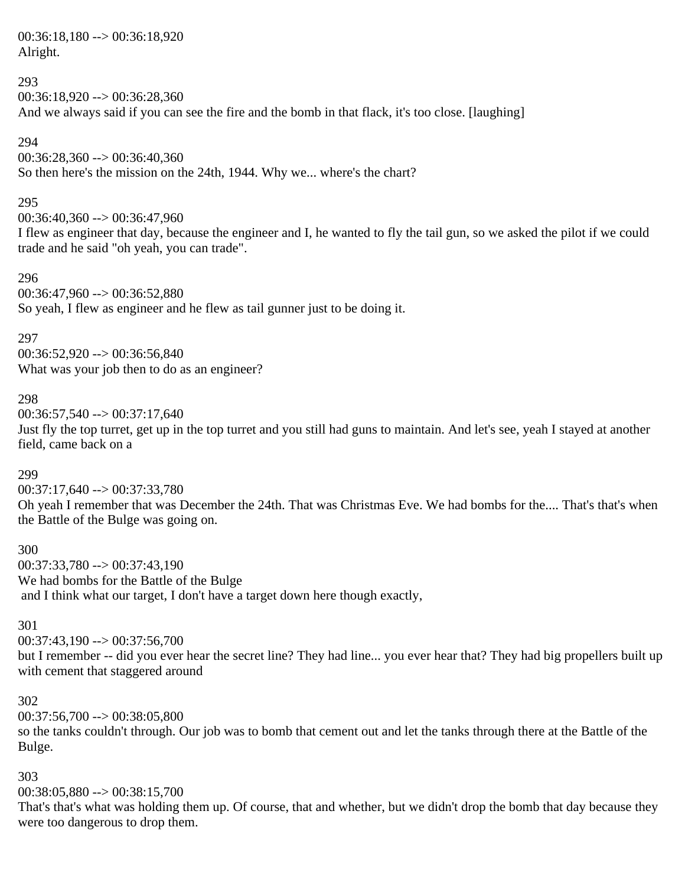00:36:18,180 --> 00:36:18,920 Alright.

### 293

 $00:36:18.920 \rightarrow 00:36:28.360$ And we always said if you can see the fire and the bomb in that flack, it's too close. [laughing]

#### 294

00:36:28,360 --> 00:36:40,360

So then here's the mission on the 24th, 1944. Why we... where's the chart?

### 295

00:36:40,360 --> 00:36:47,960

I flew as engineer that day, because the engineer and I, he wanted to fly the tail gun, so we asked the pilot if we could trade and he said "oh yeah, you can trade".

#### 296

00:36:47,960 --> 00:36:52,880 So yeah, I flew as engineer and he flew as tail gunner just to be doing it.

#### 297

00:36:52,920 --> 00:36:56,840 What was your job then to do as an engineer?

### 298

 $00:36:57,540 \rightarrow 00:37:17,640$ 

Just fly the top turret, get up in the top turret and you still had guns to maintain. And let's see, yeah I stayed at another field, came back on a

### 299

 $00:37:17.640 \rightarrow 00:37:33.780$ 

Oh yeah I remember that was December the 24th. That was Christmas Eve. We had bombs for the.... That's that's when the Battle of the Bulge was going on.

### 300

00:37:33,780 --> 00:37:43,190 We had bombs for the Battle of the Bulge and I think what our target, I don't have a target down here though exactly,

### 301

 $00:37:43,190 \rightarrow 00:37:56,700$ 

but I remember -- did you ever hear the secret line? They had line... you ever hear that? They had big propellers built up with cement that staggered around

### 302

 $00:37:56,700 \rightarrow 00:38:05,800$ 

so the tanks couldn't through. Our job was to bomb that cement out and let the tanks through there at the Battle of the Bulge.

### 303

 $00:38:05.880 \rightarrow 00:38:15.700$ 

That's that's what was holding them up. Of course, that and whether, but we didn't drop the bomb that day because they were too dangerous to drop them.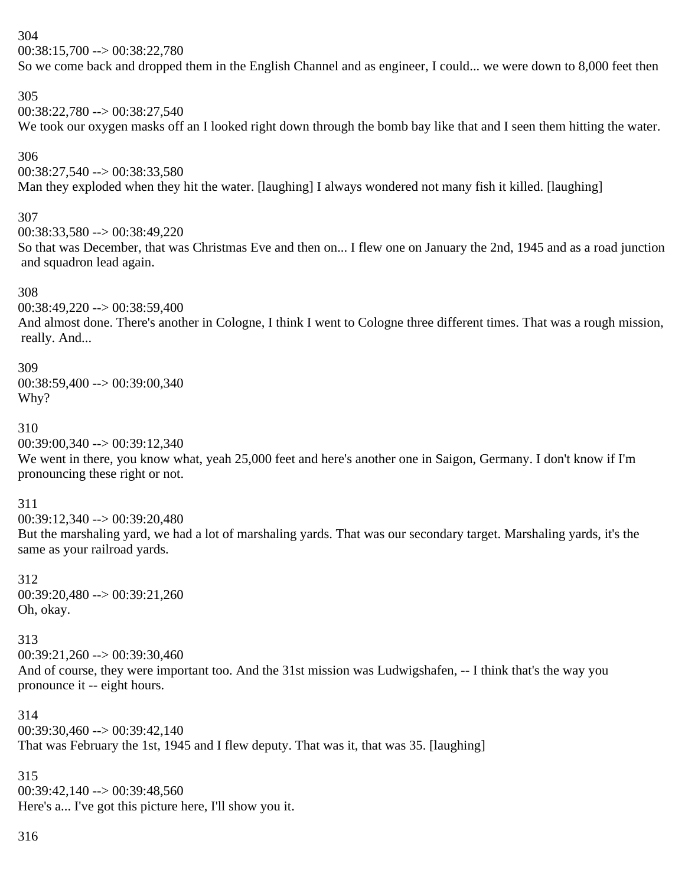304

00:38:15,700 --> 00:38:22,780

So we come back and dropped them in the English Channel and as engineer, I could... we were down to 8,000 feet then

305

00:38:22,780 --> 00:38:27,540

We took our oxygen masks off an I looked right down through the bomb bay like that and I seen them hitting the water.

306

00:38:27,540 --> 00:38:33,580 Man they exploded when they hit the water. [laughing] I always wondered not many fish it killed. [laughing]

307

00:38:33,580 --> 00:38:49,220

So that was December, that was Christmas Eve and then on... I flew one on January the 2nd, 1945 and as a road junction and squadron lead again.

308

00:38:49,220 --> 00:38:59,400

And almost done. There's another in Cologne, I think I went to Cologne three different times. That was a rough mission, really. And...

309

00:38:59,400 --> 00:39:00,340 Why?

310

00:39:00,340 --> 00:39:12,340

We went in there, you know what, yeah 25,000 feet and here's another one in Saigon, Germany. I don't know if I'm pronouncing these right or not.

311

 $00:39:12.340 \rightarrow 00:39:20.480$ But the marshaling yard, we had a lot of marshaling yards. That was our secondary target. Marshaling yards, it's the same as your railroad yards.

312 00:39:20,480 --> 00:39:21,260 Oh, okay.

313  $00:39:21.260 \rightarrow 00:39:30.460$ And of course, they were important too. And the 31st mission was Ludwigshafen, -- I think that's the way you pronounce it -- eight hours.

314 00:39:30,460 --> 00:39:42,140 That was February the 1st, 1945 and I flew deputy. That was it, that was 35. [laughing]

315 00:39:42,140 --> 00:39:48,560 Here's a... I've got this picture here, I'll show you it.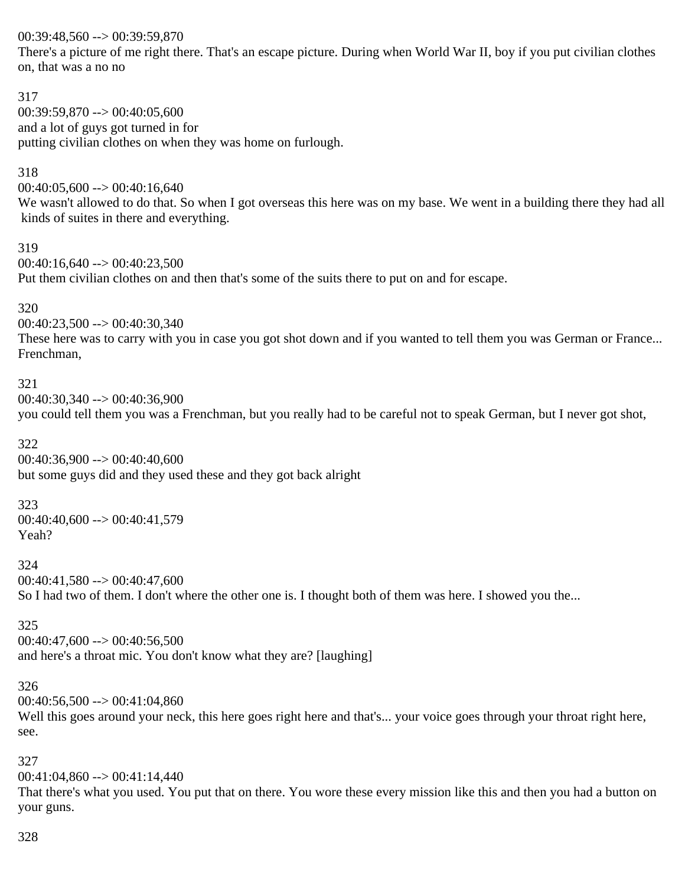00:39:48,560 --> 00:39:59,870

There's a picture of me right there. That's an escape picture. During when World War II, boy if you put civilian clothes on, that was a no no

```
317
00:39:59.870 \rightarrow 00:40:05.600and a lot of guys got turned in for
putting civilian clothes on when they was home on furlough.
```
### 318

 $00:40:05,600 \rightarrow 00:40:16,640$ 

We wasn't allowed to do that. So when I got overseas this here was on my base. We went in a building there they had all kinds of suites in there and everything.

### 319

00:40:16,640 --> 00:40:23,500

Put them civilian clothes on and then that's some of the suits there to put on and for escape.

### 320

 $00:40:23,500 \rightarrow 00:40:30,340$ 

These here was to carry with you in case you got shot down and if you wanted to tell them you was German or France... Frenchman,

### 321

00:40:30,340 --> 00:40:36,900 you could tell them you was a Frenchman, but you really had to be careful not to speak German, but I never got shot,

### 322

00:40:36,900 --> 00:40:40,600 but some guys did and they used these and they got back alright

### 323

00:40:40,600 --> 00:40:41,579 Yeah?

### 324

 $00:40:41,580 \rightarrow 00:40:47,600$ 

So I had two of them. I don't where the other one is. I thought both of them was here. I showed you the...

### 325

 $00:40:47,600 \rightarrow 00:40:56,500$ and here's a throat mic. You don't know what they are? [laughing]

### 326

 $00:40:56,500 \rightarrow 00:41:04,860$ 

Well this goes around your neck, this here goes right here and that's... your voice goes through your throat right here, see.

### 327

 $00:41:04.860 \rightarrow 00:41:14.440$ 

That there's what you used. You put that on there. You wore these every mission like this and then you had a button on your guns.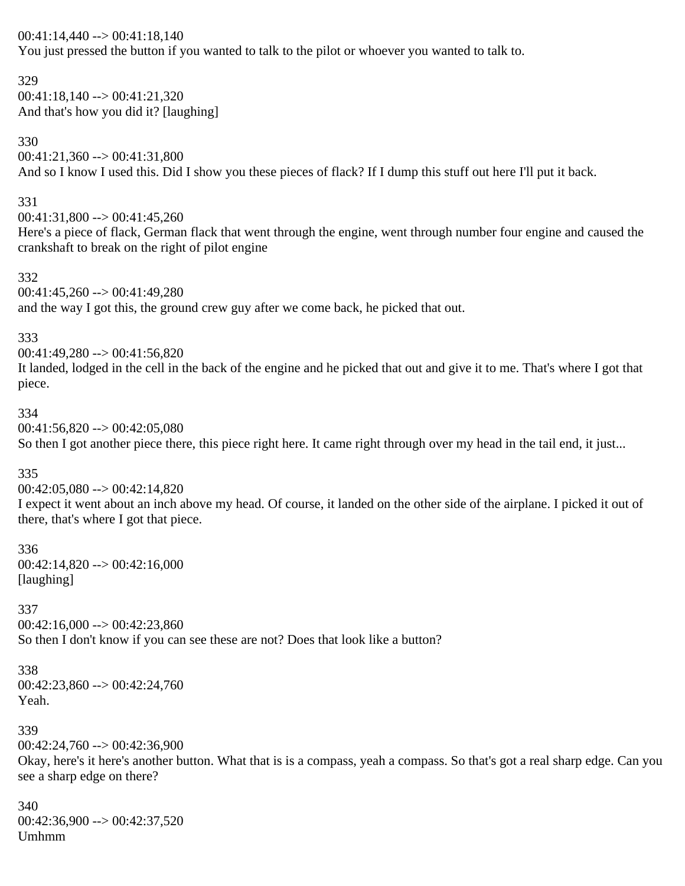#### 00:41:14,440 --> 00:41:18,140

You just pressed the button if you wanted to talk to the pilot or whoever you wanted to talk to.

329

 $00:41:18,140 \rightarrow 00:41:21,320$ And that's how you did it? [laughing]

330

### $00:41:21,360 \rightarrow 00:41:31,800$

And so I know I used this. Did I show you these pieces of flack? If I dump this stuff out here I'll put it back.

#### 331

 $00:41:31,800 \rightarrow 00:41:45,260$ 

Here's a piece of flack, German flack that went through the engine, went through number four engine and caused the crankshaft to break on the right of pilot engine

332

 $00:41:45,260 \rightarrow 00:41:49,280$ and the way I got this, the ground crew guy after we come back, he picked that out.

### 333

00:41:49,280 --> 00:41:56,820 It landed, lodged in the cell in the back of the engine and he picked that out and give it to me. That's where I got that piece.

#### 334

 $00:41:56,820 \rightarrow 00:42:05,080$ 

So then I got another piece there, this piece right here. It came right through over my head in the tail end, it just...

### 335

 $00:42:05,080 \rightarrow 00:42:14,820$ 

I expect it went about an inch above my head. Of course, it landed on the other side of the airplane. I picked it out of there, that's where I got that piece.

336 00:42:14,820 --> 00:42:16,000 [laughing]

### 337

 $00:42:16,000 \rightarrow 00:42:23,860$ So then I don't know if you can see these are not? Does that look like a button?

# 338

00:42:23,860 --> 00:42:24,760 Yeah.

### 339

 $00:42:24.760 \rightarrow 00:42:36.900$ 

Okay, here's it here's another button. What that is is a compass, yeah a compass. So that's got a real sharp edge. Can you see a sharp edge on there?

### 340  $00:42:36,900 \rightarrow 00:42:37,520$ Umhmm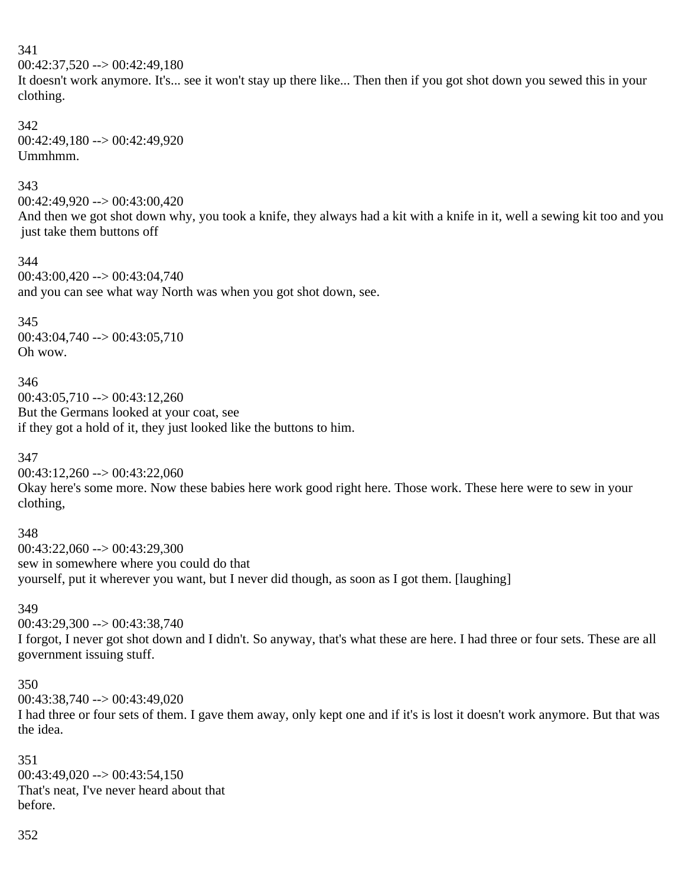### 341

 $00:42:37.520 \rightarrow 00:42:49.180$ 

It doesn't work anymore. It's... see it won't stay up there like... Then then if you got shot down you sewed this in your clothing.

# 342

00:42:49,180 --> 00:42:49,920 Ummhmm.

### 343

00:42:49,920 --> 00:43:00,420

And then we got shot down why, you took a knife, they always had a kit with a knife in it, well a sewing kit too and you just take them buttons off

### 344

 $00:43:00,420 \rightarrow 00:43:04,740$ and you can see what way North was when you got shot down, see.

### 345

00:43:04,740 --> 00:43:05,710 Oh wow.

### 346

 $00:43:05,710 \rightarrow 00:43:12,260$ But the Germans looked at your coat, see if they got a hold of it, they just looked like the buttons to him.

### 347

 $00:43:12,260 \rightarrow 00:43:22,060$ 

Okay here's some more. Now these babies here work good right here. Those work. These here were to sew in your clothing,

### 348

 $00:43:22.060 \rightarrow 00:43:29.300$ sew in somewhere where you could do that yourself, put it wherever you want, but I never did though, as soon as I got them. [laughing]

### 349

00:43:29,300 --> 00:43:38,740

I forgot, I never got shot down and I didn't. So anyway, that's what these are here. I had three or four sets. These are all government issuing stuff.

### 350

00:43:38,740 --> 00:43:49,020

I had three or four sets of them. I gave them away, only kept one and if it's is lost it doesn't work anymore. But that was the idea.

### 351

 $00:43:49:020 \rightarrow 00:43:54.150$ That's neat, I've never heard about that before.

### 352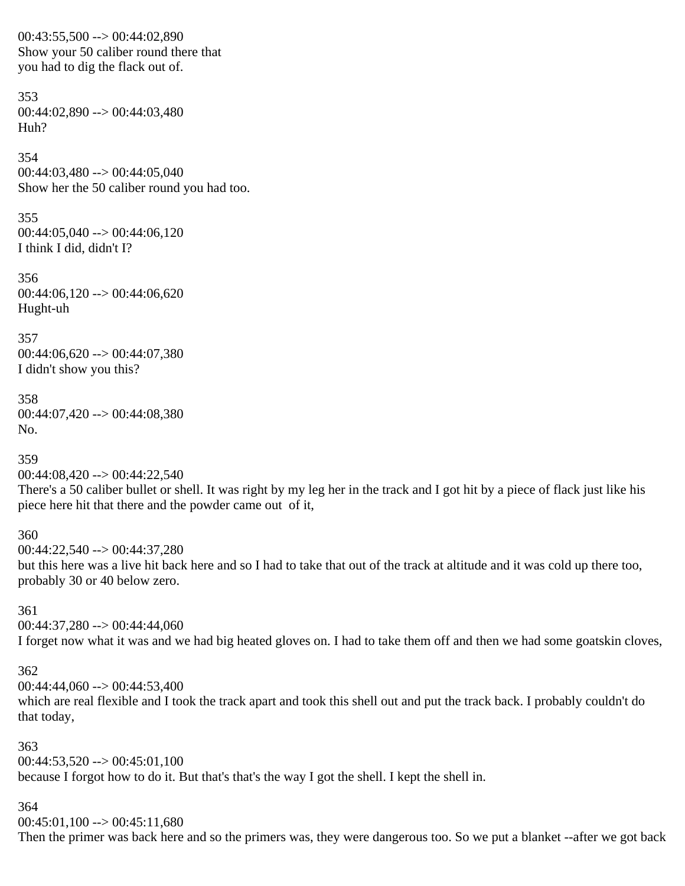00:43:55,500 --> 00:44:02,890 Show your 50 caliber round there that you had to dig the flack out of.

353 00:44:02,890 --> 00:44:03,480 Huh?

354  $00:44:03,480 \rightarrow 00:44:05,040$ Show her the 50 caliber round you had too.

355  $00:44:05,040 \rightarrow 00:44:06,120$ I think I did, didn't I?

356  $00:44:06,120 \rightarrow 00:44:06,620$ Hught-uh

357 00:44:06,620 --> 00:44:07,380 I didn't show you this?

358 00:44:07,420 --> 00:44:08,380 No.

359  $00:44:08,420 \rightarrow 00:44:22,540$ 

There's a 50 caliber bullet or shell. It was right by my leg her in the track and I got hit by a piece of flack just like his piece here hit that there and the powder came out of it,

360

00:44:22,540 --> 00:44:37,280 but this here was a live hit back here and so I had to take that out of the track at altitude and it was cold up there too, probably 30 or 40 below zero.

361

 $00:44:37,280 \rightarrow 00:44:44,060$ I forget now what it was and we had big heated gloves on. I had to take them off and then we had some goatskin cloves,

362

 $00:44:44,060 \rightarrow 00:44:53,400$ 

which are real flexible and I took the track apart and took this shell out and put the track back. I probably couldn't do that today,

363  $00:44:53,520 \rightarrow 00:45:01,100$ because I forgot how to do it. But that's that's the way I got the shell. I kept the shell in.

364

 $00:45:01,100 \rightarrow 00:45:11,680$ 

Then the primer was back here and so the primers was, they were dangerous too. So we put a blanket --after we got back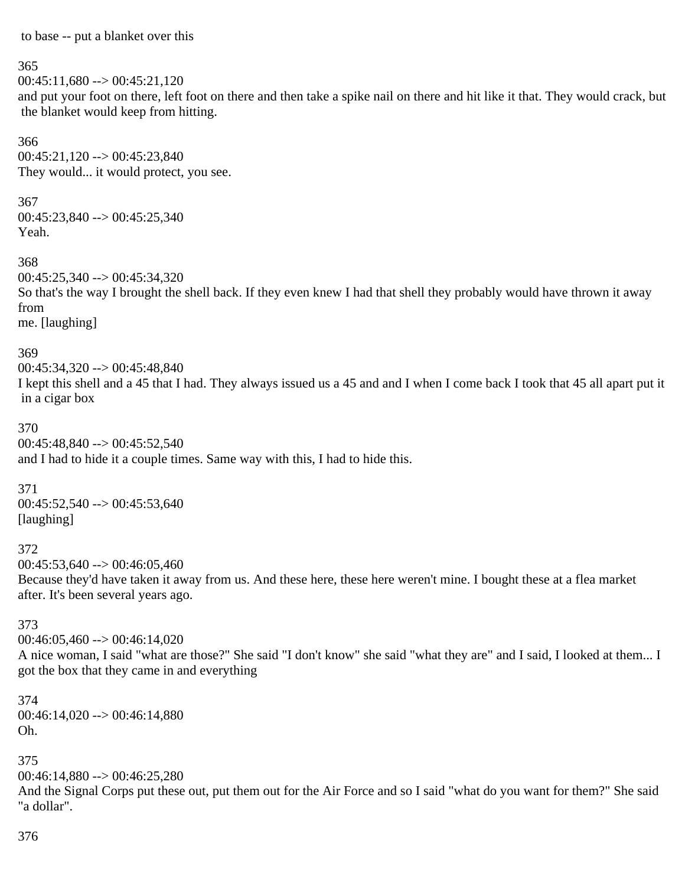to base -- put a blanket over this

#### 365

 $00:45:11,680 \rightarrow 00:45:21,120$ and put your foot on there, left foot on there and then take a spike nail on there and hit like it that. They would crack, but the blanket would keep from hitting.

366  $00:45:21,120 \rightarrow 00:45:23,840$ They would... it would protect, you see.

#### 367

 $00:45:23,840 \rightarrow 00:45:25,340$ Yeah.

368

00:45:25,340 --> 00:45:34,320 So that's the way I brought the shell back. If they even knew I had that shell they probably would have thrown it away from me. [laughing]

### 369

00:45:34,320 --> 00:45:48,840 I kept this shell and a 45 that I had. They always issued us a 45 and and I when I come back I took that 45 all apart put it in a cigar box

#### 370

00:45:48,840 --> 00:45:52,540 and I had to hide it a couple times. Same way with this, I had to hide this.

371

 $00:45:52,540 \rightarrow 00:45:53,640$ [laughing]

### 372

 $00:45:53,640 \rightarrow 00:46:05,460$ 

Because they'd have taken it away from us. And these here, these here weren't mine. I bought these at a flea market after. It's been several years ago.

### 373

 $00:46:05,460 \rightarrow 00:46:14,020$ 

A nice woman, I said "what are those?" She said "I don't know" she said "what they are" and I said, I looked at them... I got the box that they came in and everything

374  $00:46:14,020 \rightarrow 00:46:14,880$ Oh.

375

 $00:46:14,880 \rightarrow 00:46:25,280$ 

And the Signal Corps put these out, put them out for the Air Force and so I said "what do you want for them?" She said "a dollar".

376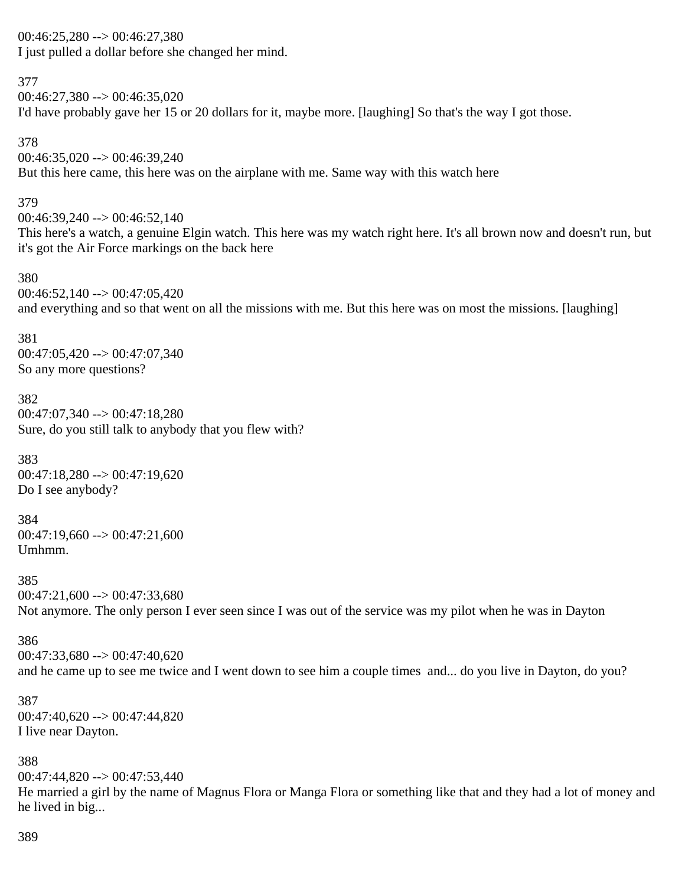# 00:46:25,280 --> 00:46:27,380 I just pulled a dollar before she changed her mind.

### 377

 $00:46:27,380 \rightarrow 00:46:35,020$ I'd have probably gave her 15 or 20 dollars for it, maybe more. [laughing] So that's the way I got those.

378  $00:46:35,020 \rightarrow 00:46:39,240$ But this here came, this here was on the airplane with me. Same way with this watch here

### 379

 $00:46:39.240 \rightarrow 00:46:52.140$ This here's a watch, a genuine Elgin watch. This here was my watch right here. It's all brown now and doesn't run, but it's got the Air Force markings on the back here

### 380

 $00:46:52,140 \rightarrow 00:47:05,420$ and everything and so that went on all the missions with me. But this here was on most the missions. [laughing]

### 381

 $00:47:05,420 \rightarrow 00:47:07,340$ So any more questions?

### 382

 $00:47:07.340 \rightarrow 00:47:18.280$ Sure, do you still talk to anybody that you flew with?

383  $00:47:18,280 \rightarrow 00:47:19,620$ Do I see anybody?

384  $00:47:19,660 \rightarrow 00:47:21,600$ Umhmm.

385  $00:47:21,600 \rightarrow 00:47:33,680$ Not anymore. The only person I ever seen since I was out of the service was my pilot when he was in Dayton

### 386

 $00:47:33,680 \rightarrow 00:47:40,620$ and he came up to see me twice and I went down to see him a couple times and... do you live in Dayton, do you?

### 387

 $00:47:40,620 \rightarrow 00:47:44,820$ I live near Dayton.

### 388

 $00:47:44.820 \rightarrow 00:47:53.440$ 

He married a girl by the name of Magnus Flora or Manga Flora or something like that and they had a lot of money and he lived in big...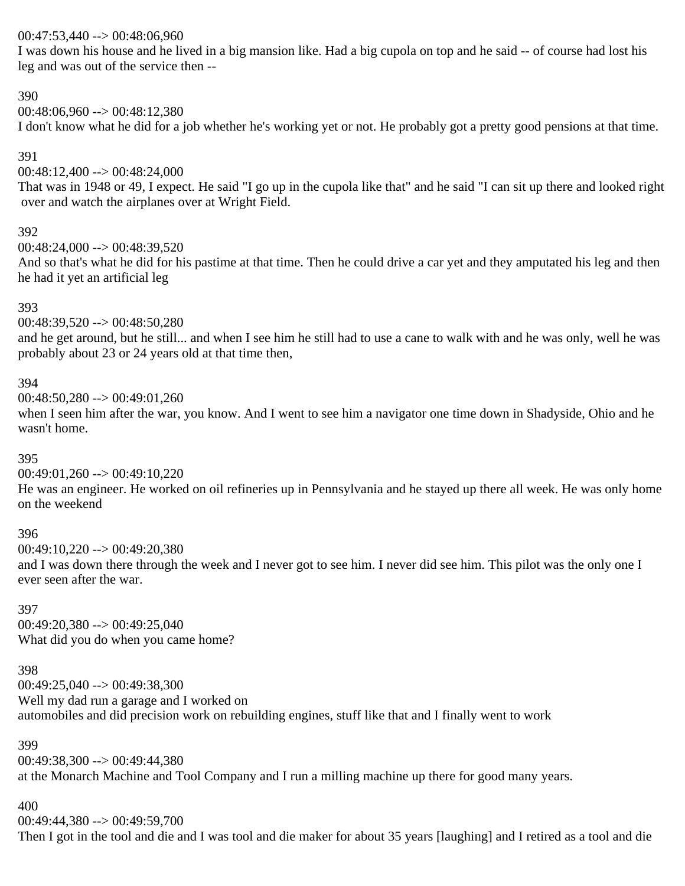### 00:47:53,440 --> 00:48:06,960

I was down his house and he lived in a big mansion like. Had a big cupola on top and he said -- of course had lost his leg and was out of the service then --

### 390

00:48:06,960 --> 00:48:12,380

I don't know what he did for a job whether he's working yet or not. He probably got a pretty good pensions at that time.

### 391

00:48:12,400 --> 00:48:24,000

That was in 1948 or 49, I expect. He said "I go up in the cupola like that" and he said "I can sit up there and looked right over and watch the airplanes over at Wright Field.

### 392

 $00:48:24.000 \rightarrow 00:48:39.520$ 

And so that's what he did for his pastime at that time. Then he could drive a car yet and they amputated his leg and then he had it yet an artificial leg

### 393

### 00:48:39,520 --> 00:48:50,280

and he get around, but he still... and when I see him he still had to use a cane to walk with and he was only, well he was probably about 23 or 24 years old at that time then,

### 394

 $00:48:50,280 \rightarrow 00:49:01,260$ 

when I seen him after the war, you know. And I went to see him a navigator one time down in Shadyside, Ohio and he wasn't home.

### 395

00:49:01,260 --> 00:49:10,220

He was an engineer. He worked on oil refineries up in Pennsylvania and he stayed up there all week. He was only home on the weekend

### 396

00:49:10,220 --> 00:49:20,380

and I was down there through the week and I never got to see him. I never did see him. This pilot was the only one I ever seen after the war.

### 397

 $00:49:20,380 \rightarrow 00:49:25,040$ What did you do when you came home?

### 398

00:49:25,040 --> 00:49:38,300 Well my dad run a garage and I worked on automobiles and did precision work on rebuilding engines, stuff like that and I finally went to work

### 399

00:49:38,300 --> 00:49:44,380 at the Monarch Machine and Tool Company and I run a milling machine up there for good many years.

### 400

00:49:44,380 --> 00:49:59,700

Then I got in the tool and die and I was tool and die maker for about 35 years [laughing] and I retired as a tool and die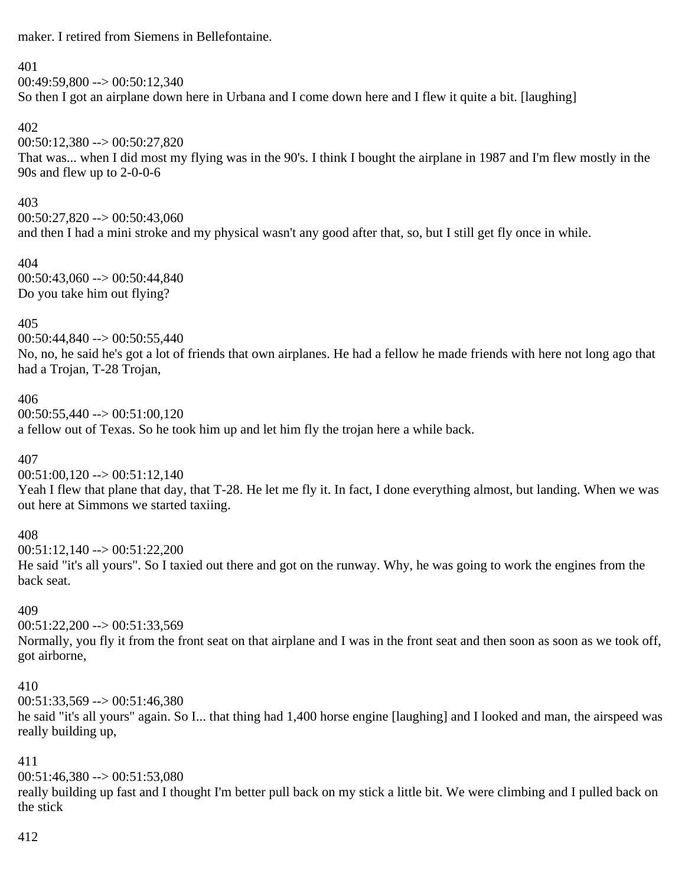maker. I retired from Siemens in Bellefontaine.

### 401

 $00:49:59.800 \rightarrow 00:50:12.340$ So then I got an airplane down here in Urbana and I come down here and I flew it quite a bit. [laughing]

### 402

00:50:12,380 --> 00:50:27,820 That was... when I did most my flying was in the 90's. I think I bought the airplane in 1987 and I'm flew mostly in the 90s and flew up to 2-0-0-6

### 403

 $00:50:27.820 \rightarrow 00:50:43.060$ and then I had a mini stroke and my physical wasn't any good after that, so, but I still get fly once in while.

### 404

 $00:50:43,060 \rightarrow 00:50:44,840$ Do you take him out flying?

### 405

00:50:44,840 --> 00:50:55,440 No, no, he said he's got a lot of friends that own airplanes. He had a fellow he made friends with here not long ago that had a Trojan, T-28 Trojan,

### 406

 $00:50:55,440 \rightarrow 00:51:00.120$ 

a fellow out of Texas. So he took him up and let him fly the trojan here a while back.

### 407

 $00:51:00,120 \rightarrow 00:51:12,140$ 

Yeah I flew that plane that day, that T-28. He let me fly it. In fact, I done everything almost, but landing. When we was out here at Simmons we started taxiing.

### 408

 $00:51:12.140 \rightarrow 00:51:22.200$ He said "it's all yours". So I taxied out there and got on the runway. Why, he was going to work the engines from the back seat.

### 409

 $00:51:22,200 \rightarrow 00:51:33.569$ Normally, you fly it from the front seat on that airplane and I was in the front seat and then soon as soon as we took off, got airborne,

### 410

00:51:33,569 --> 00:51:46,380 he said "it's all yours" again. So I... that thing had 1,400 horse engine [laughing] and I looked and man, the airspeed was really building up,

### 411

 $00:51:46.380 \rightarrow 00:51:53.080$ 

really building up fast and I thought I'm better pull back on my stick a little bit. We were climbing and I pulled back on the stick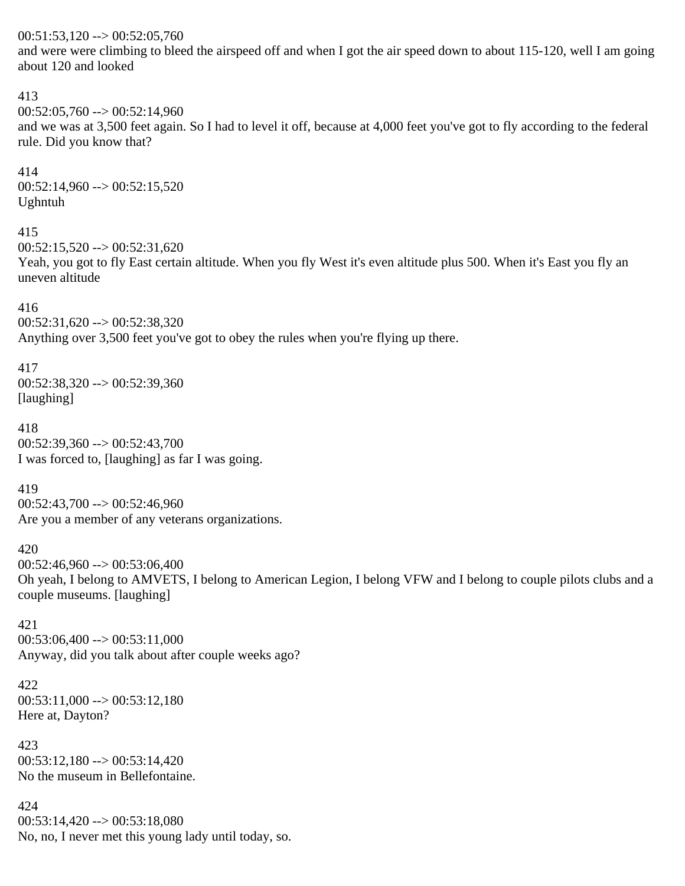#### $00:51:53,120 \rightarrow 00:52:05,760$

and were were climbing to bleed the airspeed off and when I got the air speed down to about 115-120, well I am going about 120 and looked

#### 413

 $00:52:05,760 \rightarrow 00:52:14,960$ 

and we was at 3,500 feet again. So I had to level it off, because at 4,000 feet you've got to fly according to the federal rule. Did you know that?

414  $00:52:14,960 \rightarrow 00:52:15,520$ Ughntuh

### 415

 $00:52:15.520 \rightarrow 00:52:31.620$ 

Yeah, you got to fly East certain altitude. When you fly West it's even altitude plus 500. When it's East you fly an uneven altitude

#### 416

 $00:52:31,620 \rightarrow 00:52:38,320$ 

Anything over 3,500 feet you've got to obey the rules when you're flying up there.

### 417

 $00:52:38,320 \rightarrow 00:52:39,360$ [laughing]

### 418

00:52:39,360 --> 00:52:43,700 I was forced to, [laughing] as far I was going.

#### 419

 $00:52:43,700 \rightarrow 00:52:46,960$ Are you a member of any veterans organizations.

### 420

 $00:52:46,960 \rightarrow 00:53:06,400$ 

Oh yeah, I belong to AMVETS, I belong to American Legion, I belong VFW and I belong to couple pilots clubs and a couple museums. [laughing]

421  $00:53:06,400 \rightarrow 00:53:11,000$ Anyway, did you talk about after couple weeks ago?

### 422  $00:53:11,000 \rightarrow 00:53:12,180$ Here at, Dayton?

423  $00:53:12,180 \rightarrow 00:53:14,420$ No the museum in Bellefontaine.

424  $00:53:14,420 \rightarrow 00:53:18,080$ No, no, I never met this young lady until today, so.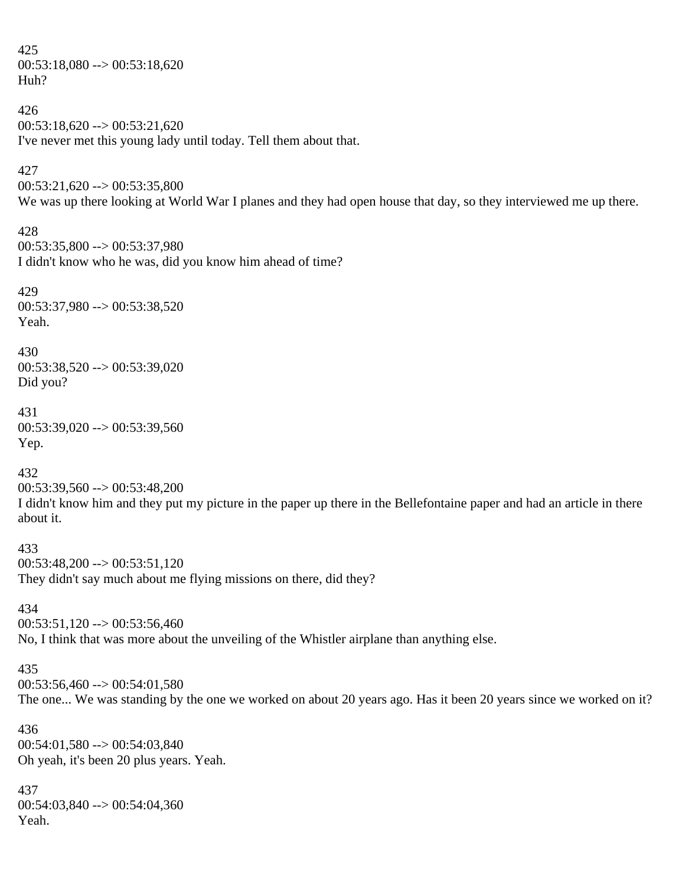425  $00:53:18,080 \rightarrow 00:53:18,620$ Huh?

426  $00:53:18,620 \rightarrow 00:53:21,620$ I've never met this young lady until today. Tell them about that.

#### 427

 $00:53:21.620 \rightarrow 00:53:35.800$ 

We was up there looking at World War I planes and they had open house that day, so they interviewed me up there.

#### 428

00:53:35,800 --> 00:53:37,980 I didn't know who he was, did you know him ahead of time?

#### 429

00:53:37,980 --> 00:53:38,520 Yeah.

# 430

00:53:38,520 --> 00:53:39,020 Did you?

#### 431

 $00:53:39,020 \rightarrow 00:53:39,560$ Yep.

#### 432

00:53:39,560 --> 00:53:48,200

I didn't know him and they put my picture in the paper up there in the Bellefontaine paper and had an article in there about it.

433  $00:53:48,200 \rightarrow 00:53:51,120$ They didn't say much about me flying missions on there, did they?

434  $00:53:51,120 \rightarrow 00:53:56,460$ No, I think that was more about the unveiling of the Whistler airplane than anything else.

#### 435

 $00:53:56,460 \rightarrow 00:54:01,580$ 

The one... We was standing by the one we worked on about 20 years ago. Has it been 20 years since we worked on it?

436  $00:54:01,580 \rightarrow 00:54:03,840$ Oh yeah, it's been 20 plus years. Yeah.

437 00:54:03,840 --> 00:54:04,360 Yeah.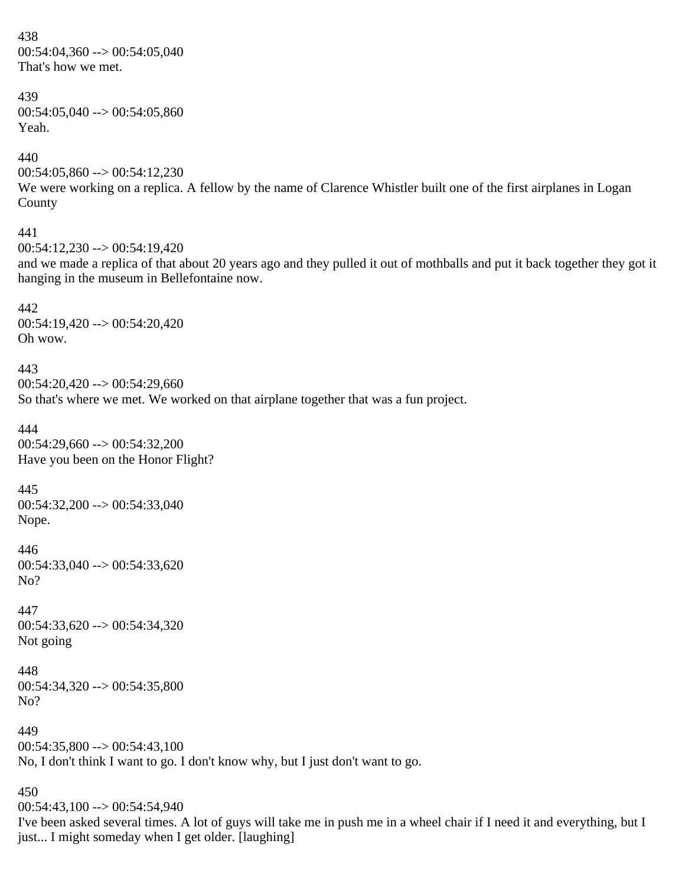438  $00:54:04,360 \rightarrow 00:54:05,040$ That's how we met.

439  $00:54:05,040 \rightarrow 00:54:05,860$ Yeah.

440  $00:54:05,860 \rightarrow 00:54:12,230$ 

We were working on a replica. A fellow by the name of Clarence Whistler built one of the first airplanes in Logan County 441

 $00:54:12.230 \rightarrow 00:54:19.420$ and we made a replica of that about 20 years ago and they pulled it out of mothballs and put it back together they got it hanging in the museum in Bellefontaine now.

442 00:54:19,420 --> 00:54:20,420 Oh wow.

443  $00:54:20,420 \rightarrow 00:54:29,660$ So that's where we met. We worked on that airplane together that was a fun project.

444 00:54:29,660 --> 00:54:32,200 Have you been on the Honor Flight?

445 00:54:32,200 --> 00:54:33,040 Nope.

446 00:54:33,040 --> 00:54:33,620 No?

447  $00:54:33,620 \rightarrow 00:54:34,320$ Not going

448 00:54:34,320 --> 00:54:35,800 No?

450

449  $00:54:35,800 \rightarrow 00:54:43,100$ No, I don't think I want to go. I don't know why, but I just don't want to go.

 $00:54:43,100 \rightarrow 00:54:54,940$ I've been asked several times. A lot of guys will take me in push me in a wheel chair if I need it and everything, but I just... I might someday when I get older. [laughing]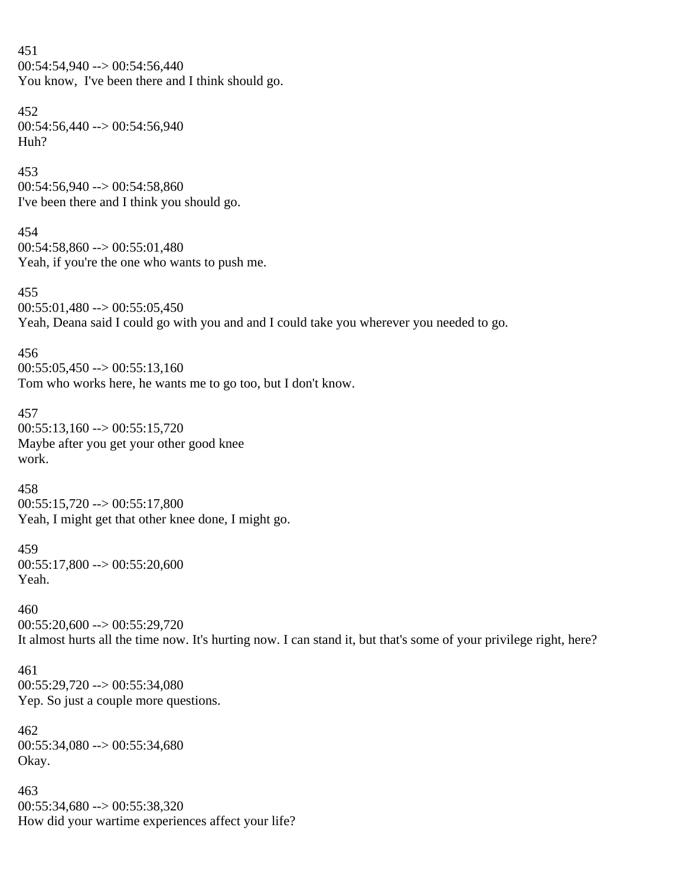451  $00:54:54,940 \rightarrow 00:54:56,440$ You know, I've been there and I think should go. 452 00:54:56,440 --> 00:54:56,940 Huh? 453 00:54:56,940 --> 00:54:58,860 I've been there and I think you should go. 454  $00:54:58,860 \rightarrow 00:55:01,480$ Yeah, if you're the one who wants to push me. 455  $00:55:01,480 \rightarrow 00:55:05,450$ Yeah, Deana said I could go with you and and I could take you wherever you needed to go. 456  $00:55:05,450 \rightarrow 00:55:13,160$ Tom who works here, he wants me to go too, but I don't know. 457  $00:55:13,160 \rightarrow 00:55:15,720$ Maybe after you get your other good knee work. 458  $00:55:15,720 \rightarrow 00:55:17,800$ Yeah, I might get that other knee done, I might go. 459 00:55:17,800 --> 00:55:20,600 Yeah. 460  $00:55:20,600 \rightarrow 00:55:29,720$ It almost hurts all the time now. It's hurting now. I can stand it, but that's some of your privilege right, here? 461 00:55:29,720 --> 00:55:34,080 Yep. So just a couple more questions. 462 00:55:34,080 --> 00:55:34,680 Okay. 463 00:55:34,680 --> 00:55:38,320 How did your wartime experiences affect your life?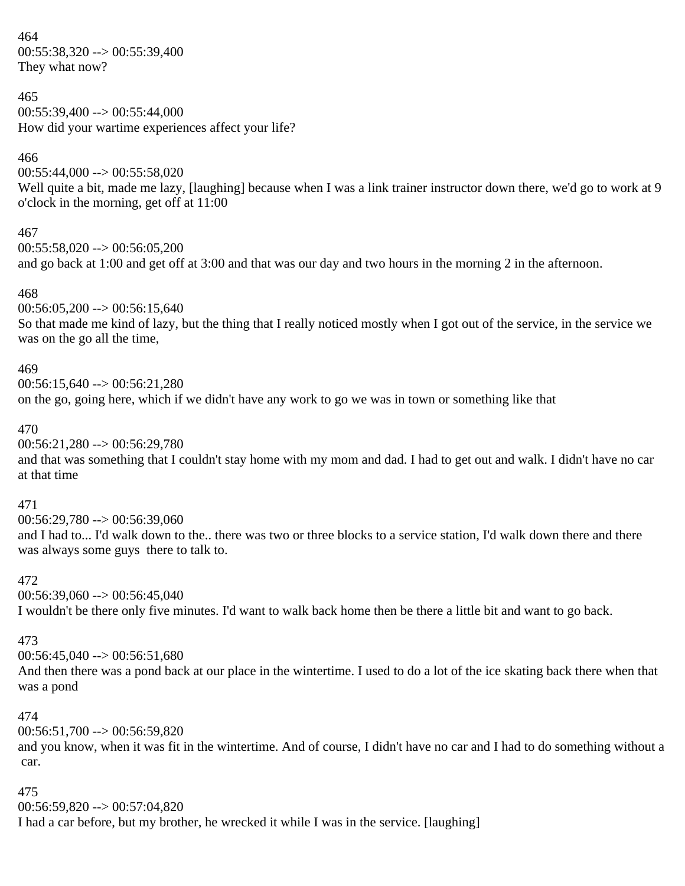464  $00:55:38,320 \rightarrow 00:55:39,400$ They what now?

#### 465

 $00:55:39.400 \rightarrow 00:55:44.000$ How did your wartime experiences affect your life?

#### 466

 $00:55:44,000 \rightarrow 00:55:58,020$ Well quite a bit, made me lazy, [laughing] because when I was a link trainer instructor down there, we'd go to work at 9 o'clock in the morning, get off at 11:00

#### 467

 $00:55:58.020 \rightarrow 00:56:05.200$ and go back at 1:00 and get off at 3:00 and that was our day and two hours in the morning 2 in the afternoon.

#### 468

 $00:56:05,200 \rightarrow 00:56:15,640$ So that made me kind of lazy, but the thing that I really noticed mostly when I got out of the service, in the service we was on the go all the time,

#### 469

 $00:56:15.640 \rightarrow 00:56:21.280$ on the go, going here, which if we didn't have any work to go we was in town or something like that

#### 470

00:56:21,280 --> 00:56:29,780

and that was something that I couldn't stay home with my mom and dad. I had to get out and walk. I didn't have no car at that time

#### 471

 $00:56:29,780 \rightarrow 00:56:39,060$ and I had to... I'd walk down to the.. there was two or three blocks to a service station, I'd walk down there and there was always some guys there to talk to.

#### 472

 $00:56:39.060 \rightarrow 00:56:45.040$ I wouldn't be there only five minutes. I'd want to walk back home then be there a little bit and want to go back.

#### 473

 $00:56:45,040 \rightarrow 00:56:51,680$ 

And then there was a pond back at our place in the wintertime. I used to do a lot of the ice skating back there when that was a pond

#### 474

00:56:51,700 --> 00:56:59,820

and you know, when it was fit in the wintertime. And of course, I didn't have no car and I had to do something without a car.

#### 475

00:56:59,820 --> 00:57:04,820

I had a car before, but my brother, he wrecked it while I was in the service. [laughing]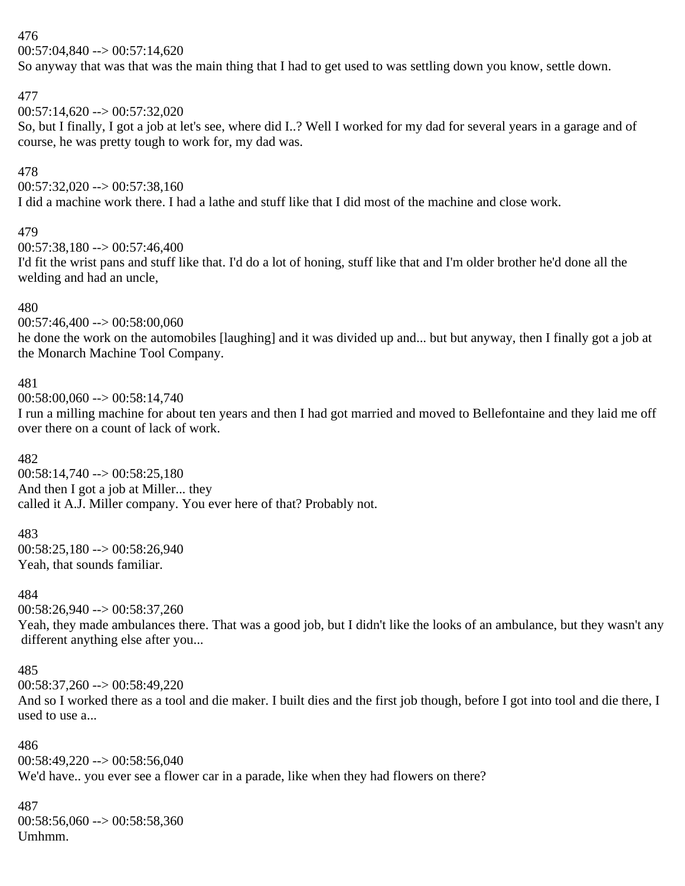### 476

 $00:57:04.840 \rightarrow 00:57:14.620$ 

So anyway that was that was the main thing that I had to get used to was settling down you know, settle down.

### 477

 $00:57:14,620 \rightarrow 00:57:32,020$ So, but I finally, I got a job at let's see, where did I..? Well I worked for my dad for several years in a garage and of course, he was pretty tough to work for, my dad was.

### 478

 $00:57:32,020 \rightarrow 00:57:38,160$ I did a machine work there. I had a lathe and stuff like that I did most of the machine and close work.

### 479

 $00:57:38.180 \rightarrow 00:57:46.400$ 

I'd fit the wrist pans and stuff like that. I'd do a lot of honing, stuff like that and I'm older brother he'd done all the welding and had an uncle,

### 480

 $00:57:46,400 \rightarrow 00:58:00,060$ 

he done the work on the automobiles [laughing] and it was divided up and... but but anyway, then I finally got a job at the Monarch Machine Tool Company.

### 481

00:58:00,060 --> 00:58:14,740

I run a milling machine for about ten years and then I had got married and moved to Bellefontaine and they laid me off over there on a count of lack of work.

### 482

 $00:58:14,740 \rightarrow 00:58:25,180$ And then I got a job at Miller... they called it A.J. Miller company. You ever here of that? Probably not.

### 483

00:58:25,180 --> 00:58:26,940 Yeah, that sounds familiar.

### 484

00:58:26,940 --> 00:58:37,260

Yeah, they made ambulances there. That was a good job, but I didn't like the looks of an ambulance, but they wasn't any different anything else after you...

### 485

00:58:37,260 --> 00:58:49,220

And so I worked there as a tool and die maker. I built dies and the first job though, before I got into tool and die there, I used to use a...

486 00:58:49,220 --> 00:58:56,040 We'd have.. you ever see a flower car in a parade, like when they had flowers on there?

487  $00:58:56,060 \rightarrow 00:58:58,360$ Umhmm.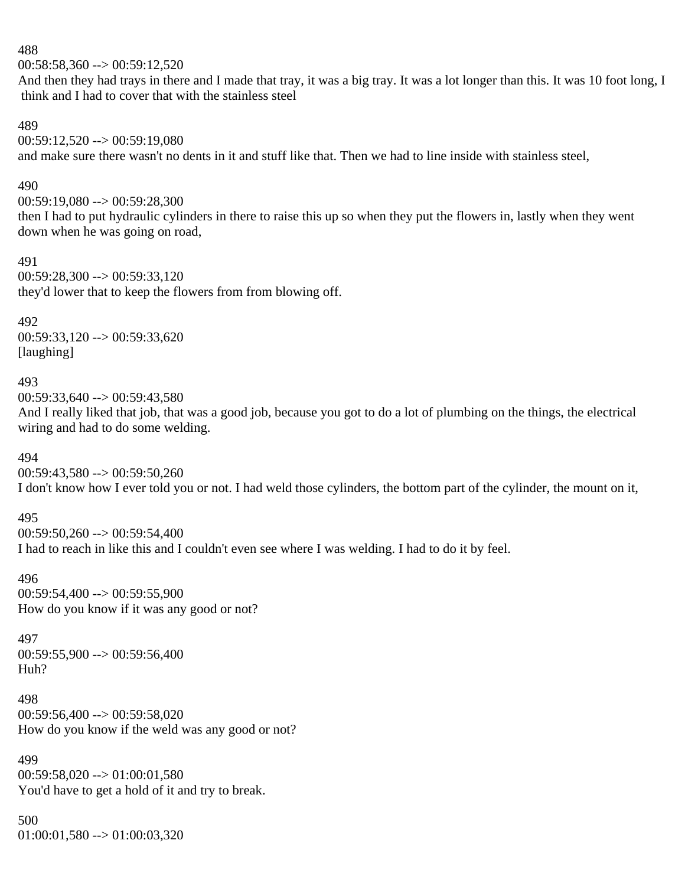488

 $00:58:58,360 \rightarrow 00:59:12,520$ 

And then they had trays in there and I made that tray, it was a big tray. It was a lot longer than this. It was 10 foot long, I think and I had to cover that with the stainless steel

489

00:59:12,520 --> 00:59:19,080 and make sure there wasn't no dents in it and stuff like that. Then we had to line inside with stainless steel,

#### 490

00:59:19,080 --> 00:59:28,300

then I had to put hydraulic cylinders in there to raise this up so when they put the flowers in, lastly when they went down when he was going on road,

491

00:59:28,300 --> 00:59:33,120 they'd lower that to keep the flowers from from blowing off.

492

00:59:33,120 --> 00:59:33,620 [laughing]

### 493

 $00:59:33.640 \rightarrow 00:59:43.580$ 

And I really liked that job, that was a good job, because you got to do a lot of plumbing on the things, the electrical wiring and had to do some welding.

494

 $00:59:43,580 \rightarrow 00:59:50,260$ 

I don't know how I ever told you or not. I had weld those cylinders, the bottom part of the cylinder, the mount on it,

495

 $00:59:50,260 \rightarrow 00:59:54,400$ 

I had to reach in like this and I couldn't even see where I was welding. I had to do it by feel.

496 00:59:54,400 --> 00:59:55,900 How do you know if it was any good or not?

497 00:59:55,900 --> 00:59:56,400 Huh?

498 00:59:56,400 --> 00:59:58,020 How do you know if the weld was any good or not?

499  $00:59:58,020 \rightarrow 01:00:01,580$ You'd have to get a hold of it and try to break.

500  $01:00:01,580 \rightarrow 01:00:03,320$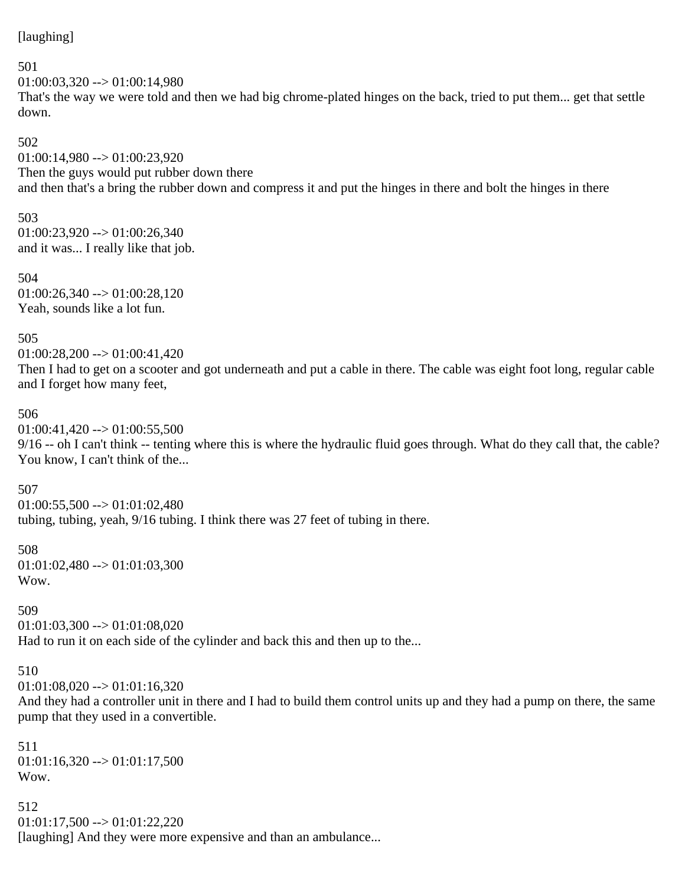### [laughing]

#### 501

 $01:00:03.320 \rightarrow 01:00:14.980$ That's the way we were told and then we had big chrome-plated hinges on the back, tried to put them... get that settle down.

#### 502

 $01:00:14,980 \rightarrow 01:00:23,920$ Then the guys would put rubber down there and then that's a bring the rubber down and compress it and put the hinges in there and bolt the hinges in there

### 503

 $01:00:23,920 \rightarrow 01:00:26,340$ and it was... I really like that job.

504  $01:00:26,340 \rightarrow 01:00:28,120$ Yeah, sounds like a lot fun.

### 505

 $01:00:28,200 \rightarrow 01:00:41,420$ Then I had to get on a scooter and got underneath and put a cable in there. The cable was eight foot long, regular cable and I forget how many feet,

### 506

 $01:00:41,420 \rightarrow 01:00:55,500$ 

9/16 -- oh I can't think -- tenting where this is where the hydraulic fluid goes through. What do they call that, the cable? You know, I can't think of the...

### 507

 $01:00:55,500 \rightarrow 01:01:02,480$ tubing, tubing, yeah, 9/16 tubing. I think there was 27 feet of tubing in there.

### 508  $01:01:02,480 \rightarrow 01:01:03,300$ Wow.

### 509

 $01:01:03,300 \rightarrow 01:01:08,020$ Had to run it on each side of the cylinder and back this and then up to the...

### 510

 $01:01:08,020 \rightarrow 01:01:16,320$ 

And they had a controller unit in there and I had to build them control units up and they had a pump on there, the same pump that they used in a convertible.

511  $01:01:16,320 \rightarrow 01:01:17,500$ Wow.

512  $01:01:17,500 \rightarrow 01:01:22,220$ [laughing] And they were more expensive and than an ambulance...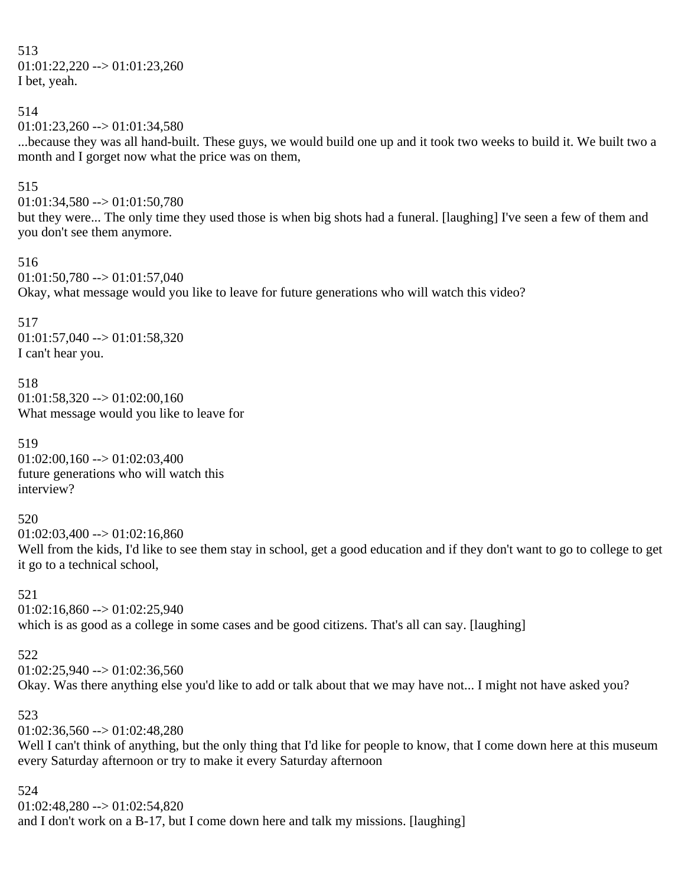513  $01:01:22,220 \rightarrow 01:01:23,260$ I bet, yeah.

514

```
01:01:23,260 \rightarrow 01:01:34,580
```
...because they was all hand-built. These guys, we would build one up and it took two weeks to build it. We built two a month and I gorget now what the price was on them,

### 515

 $01:01:34,580 \rightarrow 01:01:50,780$ 

but they were... The only time they used those is when big shots had a funeral. [laughing] I've seen a few of them and you don't see them anymore.

516

 $01:01:50,780 \rightarrow 01:01:57,040$ Okay, what message would you like to leave for future generations who will watch this video?

517

 $01:01:57,040 \rightarrow 01:01:58,320$ I can't hear you.

518  $01:01:58,320 \rightarrow 01:02:00,160$ What message would you like to leave for

519  $01:02:00,160 \rightarrow 01:02:03,400$ future generations who will watch this interview?

520

 $01:02:03,400 \rightarrow 01:02:16,860$ Well from the kids, I'd like to see them stay in school, get a good education and if they don't want to go to college to get it go to a technical school,

521

 $01:02:16,860 \rightarrow 01:02:25,940$ which is as good as a college in some cases and be good citizens. That's all can say. [laughing]

### 522

 $01:02:25.940 \rightarrow 01:02:36.560$ 

Okay. Was there anything else you'd like to add or talk about that we may have not... I might not have asked you?

### 523

 $01:02:36,560 \rightarrow 01:02:48,280$ 

Well I can't think of anything, but the only thing that I'd like for people to know, that I come down here at this museum every Saturday afternoon or try to make it every Saturday afternoon

524

01:02:48,280 --> 01:02:54,820 and I don't work on a B-17, but I come down here and talk my missions. [laughing]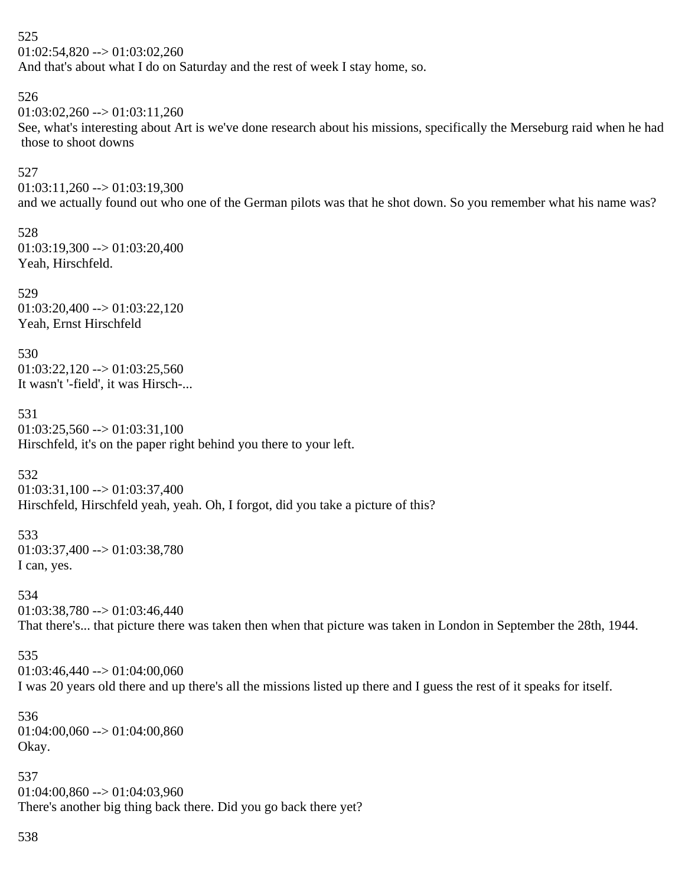525  $01:02:54,820 \rightarrow 01:03:02,260$ And that's about what I do on Saturday and the rest of week I stay home, so.

526  $01:03:02,260 \rightarrow 01:03:11,260$ See, what's interesting about Art is we've done research about his missions, specifically the Merseburg raid when he had those to shoot downs

527  $01:03:11,260 \rightarrow 01:03:19,300$ 

and we actually found out who one of the German pilots was that he shot down. So you remember what his name was?

528  $01:03:19,300 \rightarrow 01:03:20,400$ Yeah, Hirschfeld.

529  $01:03:20,400 \rightarrow 01:03:22,120$ Yeah, Ernst Hirschfeld

530  $01:03:22,120 \rightarrow 01:03:25,560$ It wasn't '-field', it was Hirsch-...

531  $01:03:25,560 \rightarrow 01:03:31,100$ Hirschfeld, it's on the paper right behind you there to your left.

532

 $01:03:31,100 \rightarrow 01:03:37,400$ Hirschfeld, Hirschfeld yeah, yeah. Oh, I forgot, did you take a picture of this?

533 01:03:37,400 --> 01:03:38,780 I can, yes.

534  $01:03:38,780 \rightarrow 01:03:46,440$ That there's... that picture there was taken then when that picture was taken in London in September the 28th, 1944.

```
535
```
 $01:03:46,440 \rightarrow 01:04:00,060$ I was 20 years old there and up there's all the missions listed up there and I guess the rest of it speaks for itself.

536 01:04:00,060 --> 01:04:00,860 Okay.

537  $01:04:00,860 \rightarrow 01:04:03,960$ There's another big thing back there. Did you go back there yet?